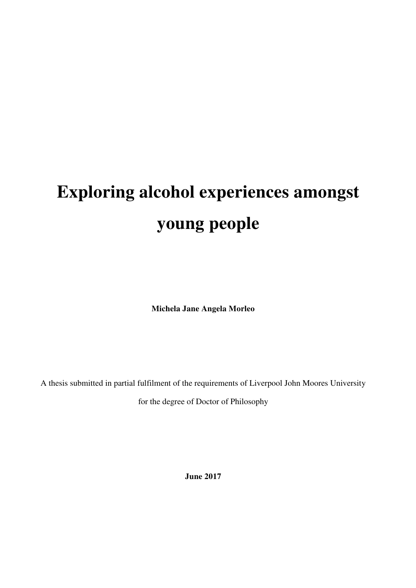# **Exploring alcohol experiences amongst young people**

**Michela Jane Angela Morleo** 

A thesis submitted in partial fulfilment of the requirements of Liverpool John Moores University

for the degree of Doctor of Philosophy

**June 2017**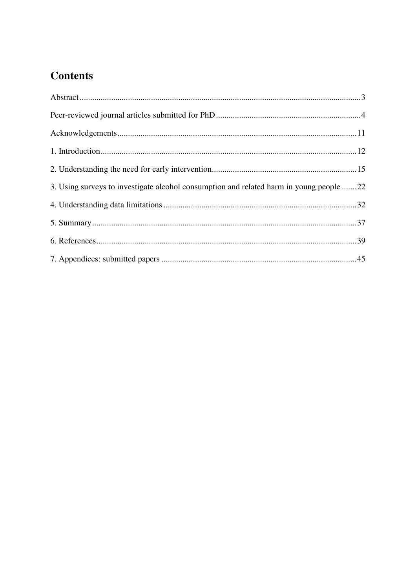# **Contents**

| 3. Using surveys to investigate alcohol consumption and related harm in young people 22 |  |
|-----------------------------------------------------------------------------------------|--|
|                                                                                         |  |
|                                                                                         |  |
|                                                                                         |  |
|                                                                                         |  |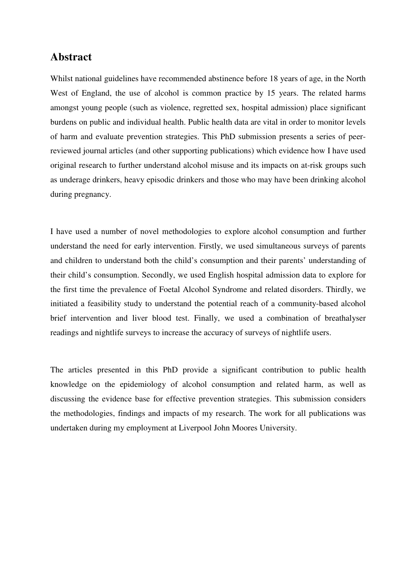# **Abstract**

Whilst national guidelines have recommended abstinence before 18 years of age, in the North West of England, the use of alcohol is common practice by 15 years. The related harms amongst young people (such as violence, regretted sex, hospital admission) place significant burdens on public and individual health. Public health data are vital in order to monitor levels of harm and evaluate prevention strategies. This PhD submission presents a series of peerreviewed journal articles (and other supporting publications) which evidence how I have used original research to further understand alcohol misuse and its impacts on at-risk groups such as underage drinkers, heavy episodic drinkers and those who may have been drinking alcohol during pregnancy.

I have used a number of novel methodologies to explore alcohol consumption and further understand the need for early intervention. Firstly, we used simultaneous surveys of parents and children to understand both the child's consumption and their parents' understanding of their child's consumption. Secondly, we used English hospital admission data to explore for the first time the prevalence of Foetal Alcohol Syndrome and related disorders. Thirdly, we initiated a feasibility study to understand the potential reach of a community-based alcohol brief intervention and liver blood test. Finally, we used a combination of breathalyser readings and nightlife surveys to increase the accuracy of surveys of nightlife users.

The articles presented in this PhD provide a significant contribution to public health knowledge on the epidemiology of alcohol consumption and related harm, as well as discussing the evidence base for effective prevention strategies. This submission considers the methodologies, findings and impacts of my research. The work for all publications was undertaken during my employment at Liverpool John Moores University.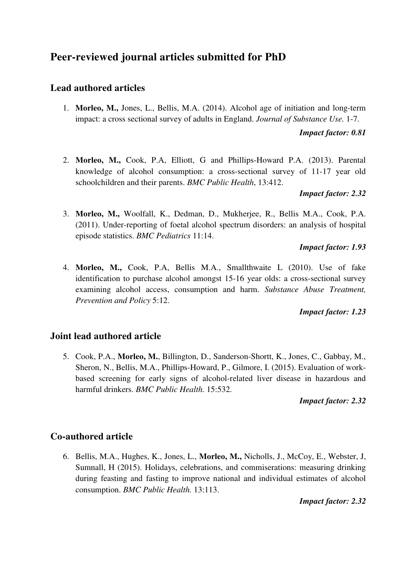# **Peer-reviewed journal articles submitted for PhD**

# **Lead authored articles**

1. **Morleo, M.,** Jones, L., Bellis, M.A. (2014). Alcohol age of initiation and long-term impact: a cross sectional survey of adults in England. *Journal of Substance Use.* 1-7.

#### *Impact factor: 0.81*

2. **Morleo, M.,** Cook, P.A, Elliott, G and Phillips-Howard P.A. (2013). Parental knowledge of alcohol consumption: a cross-sectional survey of 11-17 year old schoolchildren and their parents. *BMC Public Health*, 13:412.

#### *Impact factor: 2.32*

3. **Morleo, M.,** Woolfall, K., Dedman, D., Mukherjee, R., Bellis M.A., Cook, P.A. (2011). Under-reporting of foetal alcohol spectrum disorders: an analysis of hospital episode statistics. *BMC Pediatrics* 11:14.

#### *Impact factor: 1.93*

4. **Morleo, M.,** Cook, P.A, Bellis M.A., Smallthwaite L (2010). Use of fake identification to purchase alcohol amongst 15-16 year olds: a cross-sectional survey examining alcohol access, consumption and harm. *Substance Abuse Treatment, Prevention and Policy* 5:12.

#### *Impact factor: 1.23*

## **Joint lead authored article**

5. Cook, P.A., **Morleo, M.**, Billington, D., Sanderson-Shortt, K., Jones, C., Gabbay, M., Sheron, N., Bellis, M.A., Phillips-Howard, P., Gilmore, I. (2015). Evaluation of workbased screening for early signs of alcohol-related liver disease in hazardous and harmful drinkers. *BMC Public Health.* 15:532.

#### *Impact factor: 2.32*

## **Co-authored article**

6. Bellis, M.A., Hughes, K., Jones, L., **Morleo, M.,** Nicholls, J., McCoy, E., Webster, J, Sumnall, H (2015). Holidays, celebrations, and commiserations: measuring drinking during feasting and fasting to improve national and individual estimates of alcohol consumption. *BMC Public Health.* 13:113.

*Impact factor: 2.32*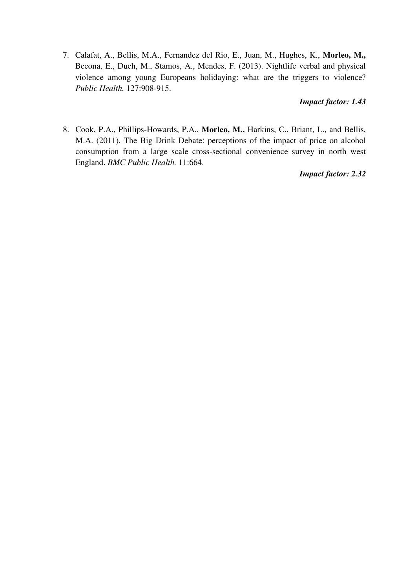7. Calafat, A., Bellis, M.A., Fernandez del Rio, E., Juan, M., Hughes, K., **Morleo, M.,**  Becona, E., Duch, M., Stamos, A., Mendes, F. (2013). Nightlife verbal and physical violence among young Europeans holidaying: what are the triggers to violence? *Public Health.* 127:908-915.

#### *Impact factor: 1.43*

8. Cook, P.A., Phillips-Howards, P.A., **Morleo, M.,** Harkins, C., Briant, L., and Bellis, M.A. (2011). The Big Drink Debate: perceptions of the impact of price on alcohol consumption from a large scale cross-sectional convenience survey in north west England. *BMC Public Health.* 11:664.

#### *Impact factor: 2.32*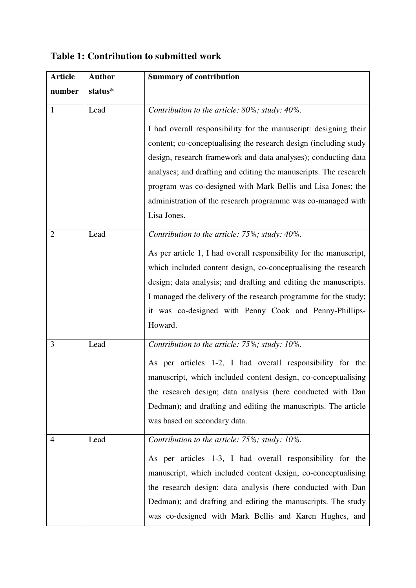| <b>Article</b> | <b>Author</b> | <b>Summary of contribution</b>                                     |  |  |
|----------------|---------------|--------------------------------------------------------------------|--|--|
| number         | status*       |                                                                    |  |  |
| $\mathbf{1}$   | Lead          | Contribution to the article: 80%; study: 40%.                      |  |  |
|                |               |                                                                    |  |  |
|                |               | I had overall responsibility for the manuscript: designing their   |  |  |
|                |               | content; co-conceptualising the research design (including study   |  |  |
|                |               | design, research framework and data analyses); conducting data     |  |  |
|                |               | analyses; and drafting and editing the manuscripts. The research   |  |  |
|                |               | program was co-designed with Mark Bellis and Lisa Jones; the       |  |  |
|                |               | administration of the research programme was co-managed with       |  |  |
|                |               | Lisa Jones.                                                        |  |  |
| $\overline{2}$ | Lead          | Contribution to the article: 75%; study: 40%.                      |  |  |
|                |               | As per article 1, I had overall responsibility for the manuscript, |  |  |
|                |               | which included content design, co-conceptualising the research     |  |  |
|                |               | design; data analysis; and drafting and editing the manuscripts.   |  |  |
|                |               | I managed the delivery of the research programme for the study;    |  |  |
|                |               | it was co-designed with Penny Cook and Penny-Phillips-             |  |  |
|                |               | Howard.                                                            |  |  |
| 3              | Lead          | Contribution to the article: 75%; study: 10%.                      |  |  |
|                |               |                                                                    |  |  |
|                |               | As per articles 1-2, I had overall responsibility for the          |  |  |
|                |               | manuscript, which included content design, co-conceptualising      |  |  |
|                |               | the research design; data analysis (here conducted with Dan        |  |  |
|                |               | Dedman); and drafting and editing the manuscripts. The article     |  |  |
|                |               | was based on secondary data.                                       |  |  |
| 4              | Lead          | Contribution to the article: 75%; study: 10%.                      |  |  |
|                |               | As per articles 1-3, I had overall responsibility for the          |  |  |
|                |               | manuscript, which included content design, co-conceptualising      |  |  |
|                |               | the research design; data analysis (here conducted with Dan        |  |  |
|                |               | Dedman); and drafting and editing the manuscripts. The study       |  |  |
|                |               | was co-designed with Mark Bellis and Karen Hughes, and             |  |  |

# **Table 1: Contribution to submitted work**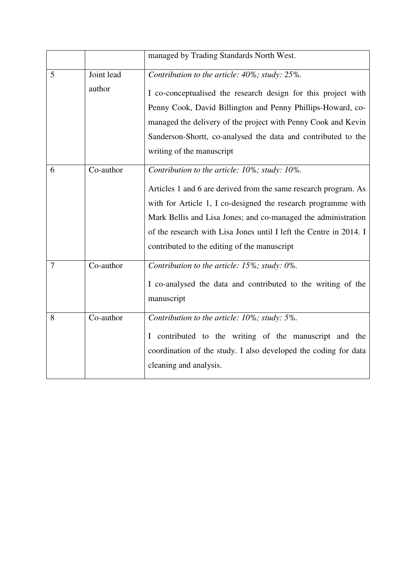|                |                      | managed by Trading Standards North West.                                                                                                                                                                                                                                                                                                                                 |
|----------------|----------------------|--------------------------------------------------------------------------------------------------------------------------------------------------------------------------------------------------------------------------------------------------------------------------------------------------------------------------------------------------------------------------|
| 5              | Joint lead<br>author | Contribution to the article: 40%; study: 25%.<br>I co-conceptualised the research design for this project with<br>Penny Cook, David Billington and Penny Phillips-Howard, co-<br>managed the delivery of the project with Penny Cook and Kevin<br>Sanderson-Shortt, co-analysed the data and contributed to the<br>writing of the manuscript                             |
| 6              | Co-author            | Contribution to the article: 10%; study: 10%.<br>Articles 1 and 6 are derived from the same research program. As<br>with for Article 1, I co-designed the research programme with<br>Mark Bellis and Lisa Jones; and co-managed the administration<br>of the research with Lisa Jones until I left the Centre in 2014. I<br>contributed to the editing of the manuscript |
| $\overline{7}$ | Co-author            | Contribution to the article: 15%; study: 0%.<br>I co-analysed the data and contributed to the writing of the<br>manuscript                                                                                                                                                                                                                                               |
| 8              | Co-author            | Contribution to the article: 10%; study: 5%.<br>I contributed to the writing of the manuscript and the<br>coordination of the study. I also developed the coding for data<br>cleaning and analysis.                                                                                                                                                                      |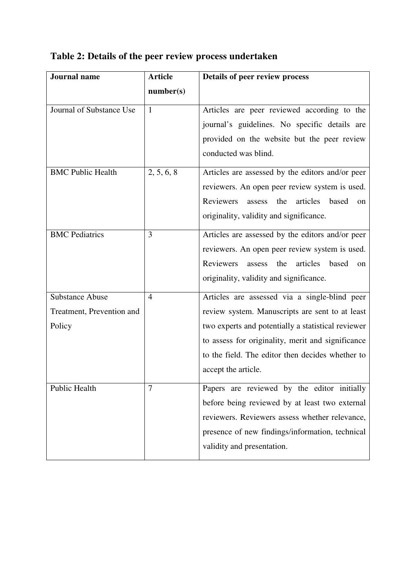| <b>Journal</b> name       | <b>Article</b> | Details of peer review process                                   |
|---------------------------|----------------|------------------------------------------------------------------|
|                           | number(s)      |                                                                  |
| Journal of Substance Use  | $\mathbf{1}$   | Articles are peer reviewed according to the                      |
|                           |                | journal's guidelines. No specific details are                    |
|                           |                | provided on the website but the peer review                      |
|                           |                | conducted was blind.                                             |
| <b>BMC Public Health</b>  | 2, 5, 6, 8     | Articles are assessed by the editors and/or peer                 |
|                           |                | reviewers. An open peer review system is used.                   |
|                           |                | Reviewers<br>articles<br>based<br>the<br>assess<br><sub>on</sub> |
|                           |                | originality, validity and significance.                          |
| <b>BMC</b> Pediatrics     | 3              | Articles are assessed by the editors and/or peer                 |
|                           |                | reviewers. An open peer review system is used.                   |
|                           |                | Reviewers<br>articles<br>based<br>the<br>assess<br><sub>on</sub> |
|                           |                | originality, validity and significance.                          |
| <b>Substance Abuse</b>    | $\overline{4}$ | Articles are assessed via a single-blind peer                    |
| Treatment, Prevention and |                | review system. Manuscripts are sent to at least                  |
| Policy                    |                | two experts and potentially a statistical reviewer               |
|                           |                | to assess for originality, merit and significance                |
|                           |                | to the field. The editor then decides whether to                 |
|                           |                | accept the article.                                              |
| Public Health             | 7              | Papers are reviewed by the editor initially                      |
|                           |                | before being reviewed by at least two external                   |
|                           |                | reviewers. Reviewers assess whether relevance,                   |
|                           |                | presence of new findings/information, technical                  |
|                           |                | validity and presentation.                                       |

# **Table 2: Details of the peer review process undertaken**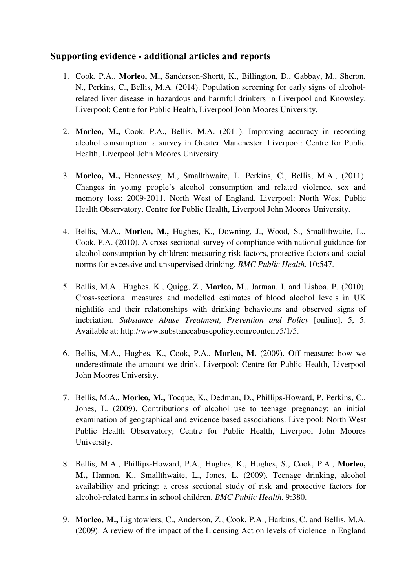# **Supporting evidence - additional articles and reports**

- 1. Cook, P.A., **Morleo, M.,** Sanderson-Shortt, K., Billington, D., Gabbay, M., Sheron, N., Perkins, C., Bellis, M.A. (2014). Population screening for early signs of alcoholrelated liver disease in hazardous and harmful drinkers in Liverpool and Knowsley. Liverpool: Centre for Public Health, Liverpool John Moores University.
- 2. **Morleo, M.,** Cook, P.A., Bellis, M.A. (2011). Improving accuracy in recording alcohol consumption: a survey in Greater Manchester. Liverpool: Centre for Public Health, Liverpool John Moores University.
- 3. **Morleo, M.,** Hennessey, M., Smallthwaite, L. Perkins, C., Bellis, M.A., (2011). Changes in young people's alcohol consumption and related violence, sex and memory loss: 2009-2011. North West of England. Liverpool: North West Public Health Observatory, Centre for Public Health, Liverpool John Moores University.
- 4. Bellis, M.A., **Morleo, M.,** Hughes, K., Downing, J., Wood, S., Smallthwaite, L., Cook, P.A. (2010). A cross-sectional survey of compliance with national guidance for alcohol consumption by children: measuring risk factors, protective factors and social norms for excessive and unsupervised drinking. *BMC Public Health.* 10:547.
- 5. Bellis, M.A., Hughes, K., Quigg, Z., **Morleo, M**., Jarman, I. and Lisboa, P. (2010). Cross-sectional measures and modelled estimates of blood alcohol levels in UK nightlife and their relationships with drinking behaviours and observed signs of inebriation. *Substance Abuse Treatment, Prevention and Policy* [online], 5, 5. Available at: http://www.substanceabusepolicy.com/content/5/1/5.
- 6. Bellis, M.A., Hughes, K., Cook, P.A., **Morleo, M.** (2009). Off measure: how we underestimate the amount we drink. Liverpool: Centre for Public Health, Liverpool John Moores University.
- 7. Bellis, M.A., **Morleo, M.,** Tocque, K., Dedman, D., Phillips-Howard, P. Perkins, C., Jones, L. (2009). Contributions of alcohol use to teenage pregnancy: an initial examination of geographical and evidence based associations. Liverpool: North West Public Health Observatory, Centre for Public Health, Liverpool John Moores University.
- 8. Bellis, M.A., Phillips-Howard, P.A., Hughes, K., Hughes, S., Cook, P.A., **Morleo, M.,** Hannon, K., Smallthwaite, L., Jones, L. (2009). Teenage drinking, alcohol availability and pricing: a cross sectional study of risk and protective factors for alcohol-related harms in school children. *BMC Public Health.* 9:380.
- 9. **Morleo, M.,** Lightowlers, C., Anderson, Z., Cook, P.A., Harkins, C. and Bellis, M.A. (2009). A review of the impact of the Licensing Act on levels of violence in England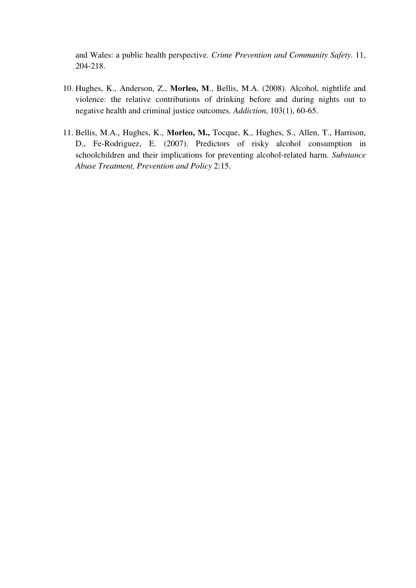and Wales: a public health perspective. *Crime Prevention and Community Safety.* 11, 204-218.

- 10. Hughes, K., Anderson, Z., **Morleo, M**., Bellis, M.A. (2008). Alcohol, nightlife and violence: the relative contributions of drinking before and during nights out to negative health and criminal justice outcomes. *Addiction*, 103(1), 60-65.
- 11. Bellis, M.A., Hughes, K., **Morleo, M.,** Tocque, K., Hughes, S., Allen, T., Harrison, D., Fe-Rodriguez, E. (2007). Predictors of risky alcohol consumption in schoolchildren and their implications for preventing alcohol-related harm. *Substance Abuse Treatment, Prevention and Policy* 2:15.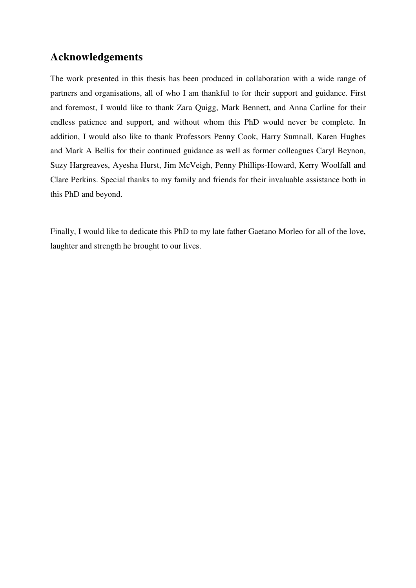# **Acknowledgements**

The work presented in this thesis has been produced in collaboration with a wide range of partners and organisations, all of who I am thankful to for their support and guidance. First and foremost, I would like to thank Zara Quigg, Mark Bennett, and Anna Carline for their endless patience and support, and without whom this PhD would never be complete. In addition, I would also like to thank Professors Penny Cook, Harry Sumnall, Karen Hughes and Mark A Bellis for their continued guidance as well as former colleagues Caryl Beynon, Suzy Hargreaves, Ayesha Hurst, Jim McVeigh, Penny Phillips-Howard, Kerry Woolfall and Clare Perkins. Special thanks to my family and friends for their invaluable assistance both in this PhD and beyond.

Finally, I would like to dedicate this PhD to my late father Gaetano Morleo for all of the love, laughter and strength he brought to our lives.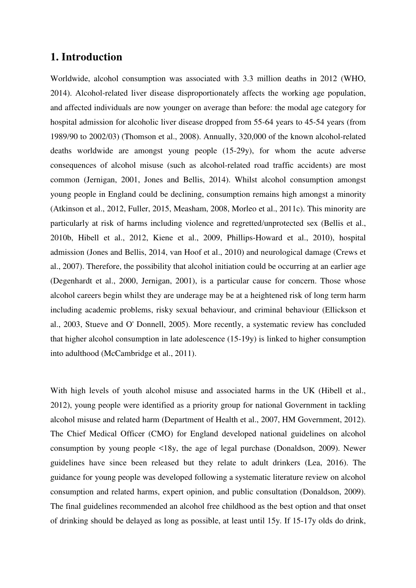#### **1. Introduction**

Worldwide, alcohol consumption was associated with 3.3 million deaths in 2012 (WHO, 2014). Alcohol-related liver disease disproportionately affects the working age population, and affected individuals are now younger on average than before: the modal age category for hospital admission for alcoholic liver disease dropped from 55-64 years to 45-54 years (from 1989/90 to 2002/03) (Thomson et al., 2008). Annually, 320,000 of the known alcohol-related deaths worldwide are amongst young people (15-29y), for whom the acute adverse consequences of alcohol misuse (such as alcohol-related road traffic accidents) are most common (Jernigan, 2001, Jones and Bellis, 2014). Whilst alcohol consumption amongst young people in England could be declining, consumption remains high amongst a minority (Atkinson et al., 2012, Fuller, 2015, Measham, 2008, Morleo et al., 2011c). This minority are particularly at risk of harms including violence and regretted/unprotected sex (Bellis et al., 2010b, Hibell et al., 2012, Kiene et al., 2009, Phillips-Howard et al., 2010), hospital admission (Jones and Bellis, 2014, van Hoof et al., 2010) and neurological damage (Crews et al., 2007). Therefore, the possibility that alcohol initiation could be occurring at an earlier age (Degenhardt et al., 2000, Jernigan, 2001), is a particular cause for concern. Those whose alcohol careers begin whilst they are underage may be at a heightened risk of long term harm including academic problems, risky sexual behaviour, and criminal behaviour (Ellickson et al., 2003, Stueve and O' Donnell, 2005). More recently, a systematic review has concluded that higher alcohol consumption in late adolescence (15-19y) is linked to higher consumption into adulthood (McCambridge et al., 2011).

With high levels of youth alcohol misuse and associated harms in the UK (Hibell et al., 2012), young people were identified as a priority group for national Government in tackling alcohol misuse and related harm (Department of Health et al., 2007, HM Government, 2012). The Chief Medical Officer (CMO) for England developed national guidelines on alcohol consumption by young people <18y, the age of legal purchase (Donaldson, 2009). Newer guidelines have since been released but they relate to adult drinkers (Lea, 2016). The guidance for young people was developed following a systematic literature review on alcohol consumption and related harms, expert opinion, and public consultation (Donaldson, 2009). The final guidelines recommended an alcohol free childhood as the best option and that onset of drinking should be delayed as long as possible, at least until 15y. If 15-17y olds do drink,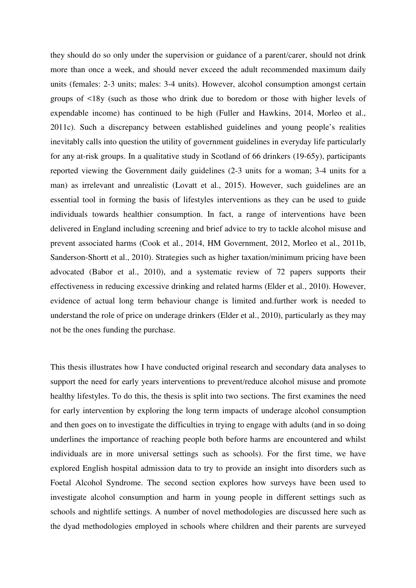they should do so only under the supervision or guidance of a parent/carer, should not drink more than once a week, and should never exceed the adult recommended maximum daily units (females: 2-3 units; males: 3-4 units). However, alcohol consumption amongst certain groups of <18y (such as those who drink due to boredom or those with higher levels of expendable income) has continued to be high (Fuller and Hawkins, 2014, Morleo et al., 2011c). Such a discrepancy between established guidelines and young people's realities inevitably calls into question the utility of government guidelines in everyday life particularly for any at-risk groups. In a qualitative study in Scotland of 66 drinkers (19-65y), participants reported viewing the Government daily guidelines (2-3 units for a woman; 3-4 units for a man) as irrelevant and unrealistic (Lovatt et al., 2015). However, such guidelines are an essential tool in forming the basis of lifestyles interventions as they can be used to guide individuals towards healthier consumption. In fact, a range of interventions have been delivered in England including screening and brief advice to try to tackle alcohol misuse and prevent associated harms (Cook et al., 2014, HM Government, 2012, Morleo et al., 2011b, Sanderson-Shortt et al., 2010). Strategies such as higher taxation/minimum pricing have been advocated (Babor et al., 2010), and a systematic review of 72 papers supports their effectiveness in reducing excessive drinking and related harms (Elder et al., 2010). However, evidence of actual long term behaviour change is limited and.further work is needed to understand the role of price on underage drinkers (Elder et al., 2010), particularly as they may not be the ones funding the purchase.

This thesis illustrates how I have conducted original research and secondary data analyses to support the need for early years interventions to prevent/reduce alcohol misuse and promote healthy lifestyles. To do this, the thesis is split into two sections. The first examines the need for early intervention by exploring the long term impacts of underage alcohol consumption and then goes on to investigate the difficulties in trying to engage with adults (and in so doing underlines the importance of reaching people both before harms are encountered and whilst individuals are in more universal settings such as schools). For the first time, we have explored English hospital admission data to try to provide an insight into disorders such as Foetal Alcohol Syndrome. The second section explores how surveys have been used to investigate alcohol consumption and harm in young people in different settings such as schools and nightlife settings. A number of novel methodologies are discussed here such as the dyad methodologies employed in schools where children and their parents are surveyed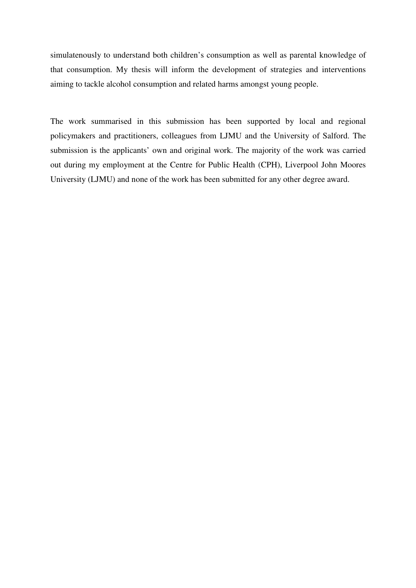simulatenously to understand both children's consumption as well as parental knowledge of that consumption. My thesis will inform the development of strategies and interventions aiming to tackle alcohol consumption and related harms amongst young people.

The work summarised in this submission has been supported by local and regional policymakers and practitioners, colleagues from LJMU and the University of Salford. The submission is the applicants' own and original work. The majority of the work was carried out during my employment at the Centre for Public Health (CPH), Liverpool John Moores University (LJMU) and none of the work has been submitted for any other degree award.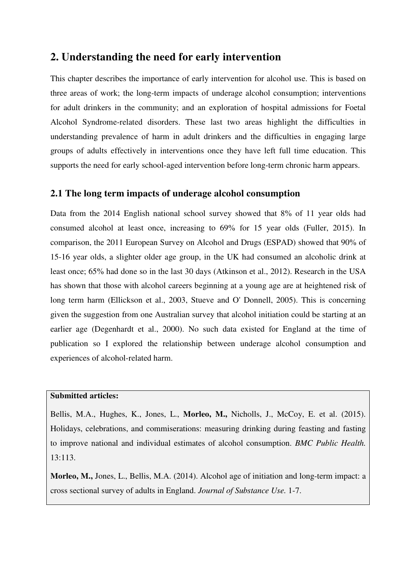# **2. Understanding the need for early intervention**

This chapter describes the importance of early intervention for alcohol use. This is based on three areas of work; the long-term impacts of underage alcohol consumption; interventions for adult drinkers in the community; and an exploration of hospital admissions for Foetal Alcohol Syndrome-related disorders. These last two areas highlight the difficulties in understanding prevalence of harm in adult drinkers and the difficulties in engaging large groups of adults effectively in interventions once they have left full time education. This supports the need for early school-aged intervention before long-term chronic harm appears.

#### **2.1 The long term impacts of underage alcohol consumption**

Data from the 2014 English national school survey showed that 8% of 11 year olds had consumed alcohol at least once, increasing to 69% for 15 year olds (Fuller, 2015). In comparison, the 2011 European Survey on Alcohol and Drugs (ESPAD) showed that 90% of 15-16 year olds, a slighter older age group, in the UK had consumed an alcoholic drink at least once; 65% had done so in the last 30 days (Atkinson et al., 2012). Research in the USA has shown that those with alcohol careers beginning at a young age are at heightened risk of long term harm (Ellickson et al., 2003, Stueve and O' Donnell, 2005). This is concerning given the suggestion from one Australian survey that alcohol initiation could be starting at an earlier age (Degenhardt et al., 2000). No such data existed for England at the time of publication so I explored the relationship between underage alcohol consumption and experiences of alcohol-related harm.

#### **Submitted articles:**

Bellis, M.A., Hughes, K., Jones, L., **Morleo, M.,** Nicholls, J., McCoy, E. et al. (2015). Holidays, celebrations, and commiserations: measuring drinking during feasting and fasting to improve national and individual estimates of alcohol consumption. *BMC Public Health.*  13:113.

**Morleo, M.,** Jones, L., Bellis, M.A. (2014). Alcohol age of initiation and long-term impact: a cross sectional survey of adults in England. *Journal of Substance Use.* 1-7.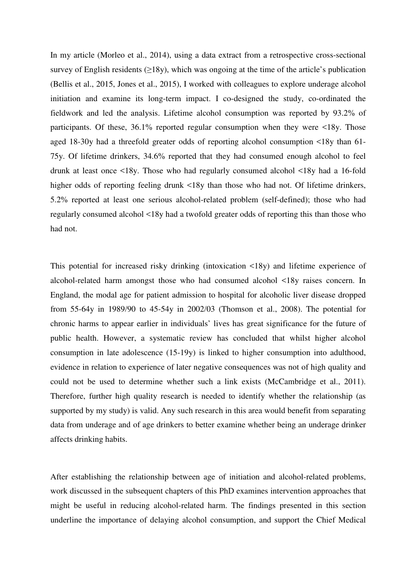In my article (Morleo et al., 2014), using a data extract from a retrospective cross-sectional survey of English residents  $(\geq 18y)$ , which was ongoing at the time of the article's publication (Bellis et al., 2015, Jones et al., 2015), I worked with colleagues to explore underage alcohol initiation and examine its long-term impact. I co-designed the study, co-ordinated the fieldwork and led the analysis. Lifetime alcohol consumption was reported by 93.2% of participants. Of these, 36.1% reported regular consumption when they were <18y. Those aged 18-30y had a threefold greater odds of reporting alcohol consumption <18y than 61- 75y. Of lifetime drinkers, 34.6% reported that they had consumed enough alcohol to feel drunk at least once <18y. Those who had regularly consumed alcohol <18y had a 16-fold higher odds of reporting feeling drunk <18y than those who had not. Of lifetime drinkers, 5.2% reported at least one serious alcohol-related problem (self-defined); those who had regularly consumed alcohol <18y had a twofold greater odds of reporting this than those who had not.

This potential for increased risky drinking (intoxication <18y) and lifetime experience of alcohol-related harm amongst those who had consumed alcohol <18y raises concern. In England, the modal age for patient admission to hospital for alcoholic liver disease dropped from 55-64y in 1989/90 to 45-54y in 2002/03 (Thomson et al., 2008). The potential for chronic harms to appear earlier in individuals' lives has great significance for the future of public health. However, a systematic review has concluded that whilst higher alcohol consumption in late adolescence (15-19y) is linked to higher consumption into adulthood, evidence in relation to experience of later negative consequences was not of high quality and could not be used to determine whether such a link exists (McCambridge et al., 2011). Therefore, further high quality research is needed to identify whether the relationship (as supported by my study) is valid. Any such research in this area would benefit from separating data from underage and of age drinkers to better examine whether being an underage drinker affects drinking habits.

After establishing the relationship between age of initiation and alcohol-related problems, work discussed in the subsequent chapters of this PhD examines intervention approaches that might be useful in reducing alcohol-related harm. The findings presented in this section underline the importance of delaying alcohol consumption, and support the Chief Medical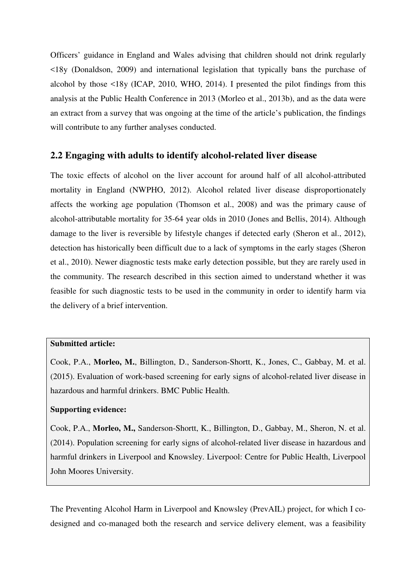Officers' guidance in England and Wales advising that children should not drink regularly <18y (Donaldson, 2009) and international legislation that typically bans the purchase of alcohol by those <18y (ICAP, 2010, WHO, 2014). I presented the pilot findings from this analysis at the Public Health Conference in 2013 (Morleo et al., 2013b), and as the data were an extract from a survey that was ongoing at the time of the article's publication, the findings will contribute to any further analyses conducted.

#### **2.2 Engaging with adults to identify alcohol-related liver disease**

The toxic effects of alcohol on the liver account for around half of all alcohol-attributed mortality in England (NWPHO, 2012). Alcohol related liver disease disproportionately affects the working age population (Thomson et al., 2008) and was the primary cause of alcohol-attributable mortality for 35-64 year olds in 2010 (Jones and Bellis, 2014). Although damage to the liver is reversible by lifestyle changes if detected early (Sheron et al., 2012), detection has historically been difficult due to a lack of symptoms in the early stages (Sheron et al., 2010). Newer diagnostic tests make early detection possible, but they are rarely used in the community. The research described in this section aimed to understand whether it was feasible for such diagnostic tests to be used in the community in order to identify harm via the delivery of a brief intervention.

#### **Submitted article:**

Cook, P.A., **Morleo, M.**, Billington, D., Sanderson-Shortt, K., Jones, C., Gabbay, M. et al. (2015). Evaluation of work-based screening for early signs of alcohol-related liver disease in hazardous and harmful drinkers. BMC Public Health.

#### **Supporting evidence:**

Cook, P.A., **Morleo, M.,** Sanderson-Shortt, K., Billington, D., Gabbay, M., Sheron, N. et al. (2014). Population screening for early signs of alcohol-related liver disease in hazardous and harmful drinkers in Liverpool and Knowsley. Liverpool: Centre for Public Health, Liverpool John Moores University.

The Preventing Alcohol Harm in Liverpool and Knowsley (PrevAIL) project, for which I codesigned and co-managed both the research and service delivery element, was a feasibility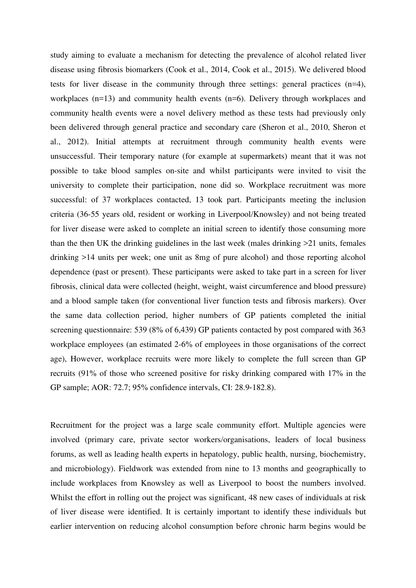study aiming to evaluate a mechanism for detecting the prevalence of alcohol related liver disease using fibrosis biomarkers (Cook et al., 2014, Cook et al., 2015). We delivered blood tests for liver disease in the community through three settings: general practices (n=4), workplaces (n=13) and community health events (n=6). Delivery through workplaces and community health events were a novel delivery method as these tests had previously only been delivered through general practice and secondary care (Sheron et al., 2010, Sheron et al., 2012). Initial attempts at recruitment through community health events were unsuccessful. Their temporary nature (for example at supermarkets) meant that it was not possible to take blood samples on-site and whilst participants were invited to visit the university to complete their participation, none did so. Workplace recruitment was more successful: of 37 workplaces contacted, 13 took part. Participants meeting the inclusion criteria (36-55 years old, resident or working in Liverpool/Knowsley) and not being treated for liver disease were asked to complete an initial screen to identify those consuming more than the then UK the drinking guidelines in the last week (males drinking >21 units, females drinking >14 units per week; one unit as 8mg of pure alcohol) and those reporting alcohol dependence (past or present). These participants were asked to take part in a screen for liver fibrosis, clinical data were collected (height, weight, waist circumference and blood pressure) and a blood sample taken (for conventional liver function tests and fibrosis markers). Over the same data collection period, higher numbers of GP patients completed the initial screening questionnaire: 539 (8% of 6,439) GP patients contacted by post compared with 363 workplace employees (an estimated 2-6% of employees in those organisations of the correct age), However, workplace recruits were more likely to complete the full screen than GP recruits (91% of those who screened positive for risky drinking compared with 17% in the GP sample; AOR: 72.7; 95% confidence intervals, CI: 28.9‐182.8).

Recruitment for the project was a large scale community effort. Multiple agencies were involved (primary care, private sector workers/organisations, leaders of local business forums, as well as leading health experts in hepatology, public health, nursing, biochemistry, and microbiology). Fieldwork was extended from nine to 13 months and geographically to include workplaces from Knowsley as well as Liverpool to boost the numbers involved. Whilst the effort in rolling out the project was significant, 48 new cases of individuals at risk of liver disease were identified. It is certainly important to identify these individuals but earlier intervention on reducing alcohol consumption before chronic harm begins would be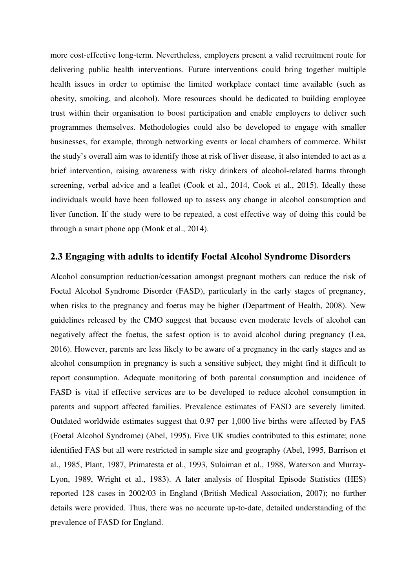more cost-effective long-term. Nevertheless, employers present a valid recruitment route for delivering public health interventions. Future interventions could bring together multiple health issues in order to optimise the limited workplace contact time available (such as obesity, smoking, and alcohol). More resources should be dedicated to building employee trust within their organisation to boost participation and enable employers to deliver such programmes themselves. Methodologies could also be developed to engage with smaller businesses, for example, through networking events or local chambers of commerce. Whilst the study's overall aim was to identify those at risk of liver disease, it also intended to act as a brief intervention, raising awareness with risky drinkers of alcohol-related harms through screening, verbal advice and a leaflet (Cook et al., 2014, Cook et al., 2015). Ideally these individuals would have been followed up to assess any change in alcohol consumption and liver function. If the study were to be repeated, a cost effective way of doing this could be through a smart phone app (Monk et al., 2014).

#### **2.3 Engaging with adults to identify Foetal Alcohol Syndrome Disorders**

Alcohol consumption reduction/cessation amongst pregnant mothers can reduce the risk of Foetal Alcohol Syndrome Disorder (FASD), particularly in the early stages of pregnancy, when risks to the pregnancy and foetus may be higher (Department of Health, 2008). New guidelines released by the CMO suggest that because even moderate levels of alcohol can negatively affect the foetus, the safest option is to avoid alcohol during pregnancy (Lea, 2016). However, parents are less likely to be aware of a pregnancy in the early stages and as alcohol consumption in pregnancy is such a sensitive subject, they might find it difficult to report consumption. Adequate monitoring of both parental consumption and incidence of FASD is vital if effective services are to be developed to reduce alcohol consumption in parents and support affected families. Prevalence estimates of FASD are severely limited. Outdated worldwide estimates suggest that 0.97 per 1,000 live births were affected by FAS (Foetal Alcohol Syndrome) (Abel, 1995). Five UK studies contributed to this estimate; none identified FAS but all were restricted in sample size and geography (Abel, 1995, Barrison et al., 1985, Plant, 1987, Primatesta et al., 1993, Sulaiman et al., 1988, Waterson and Murray-Lyon, 1989, Wright et al., 1983). A later analysis of Hospital Episode Statistics (HES) reported 128 cases in 2002/03 in England (British Medical Association, 2007); no further details were provided. Thus, there was no accurate up-to-date, detailed understanding of the prevalence of FASD for England.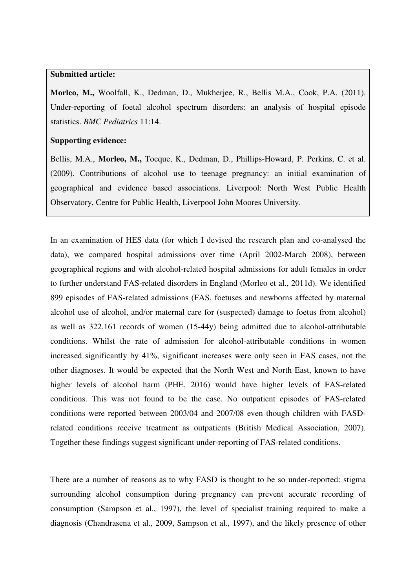#### **Submitted article:**

**Morleo, M.,** Woolfall, K., Dedman, D., Mukherjee, R., Bellis M.A., Cook, P.A. (2011). Under-reporting of foetal alcohol spectrum disorders: an analysis of hospital episode statistics. *BMC Pediatrics* 11:14.

#### **Supporting evidence:**

Bellis, M.A., **Morleo, M.,** Tocque, K., Dedman, D., Phillips-Howard, P. Perkins, C. et al. (2009). Contributions of alcohol use to teenage pregnancy: an initial examination of geographical and evidence based associations. Liverpool: North West Public Health Observatory, Centre for Public Health, Liverpool John Moores University.

In an examination of HES data (for which I devised the research plan and co-analysed the data), we compared hospital admissions over time (April 2002-March 2008), between geographical regions and with alcohol-related hospital admissions for adult females in order to further understand FAS-related disorders in England (Morleo et al., 2011d). We identified 899 episodes of FAS-related admissions (FAS, foetuses and newborns affected by maternal alcohol use of alcohol, and/or maternal care for (suspected) damage to foetus from alcohol) as well as 322,161 records of women (15-44y) being admitted due to alcohol-attributable conditions. Whilst the rate of admission for alcohol-attributable conditions in women increased significantly by 41%, significant increases were only seen in FAS cases, not the other diagnoses. It would be expected that the North West and North East, known to have higher levels of alcohol harm (PHE, 2016) would have higher levels of FAS-related conditions. This was not found to be the case. No outpatient episodes of FAS-related conditions were reported between 2003/04 and 2007/08 even though children with FASDrelated conditions receive treatment as outpatients (British Medical Association, 2007). Together these findings suggest significant under-reporting of FAS-related conditions.

There are a number of reasons as to why FASD is thought to be so under-reported: stigma surrounding alcohol consumption during pregnancy can prevent accurate recording of consumption (Sampson et al., 1997), the level of specialist training required to make a diagnosis (Chandrasena et al., 2009, Sampson et al., 1997), and the likely presence of other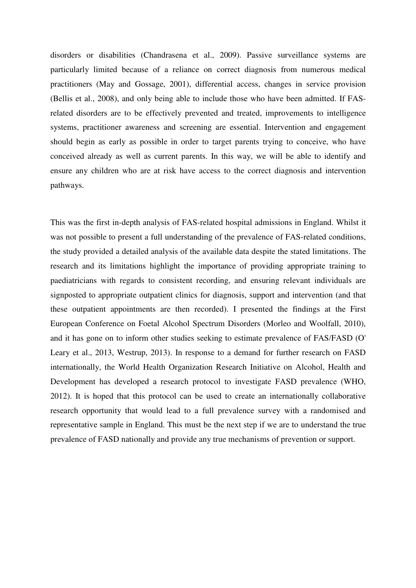disorders or disabilities (Chandrasena et al., 2009). Passive surveillance systems are particularly limited because of a reliance on correct diagnosis from numerous medical practitioners (May and Gossage, 2001), differential access, changes in service provision (Bellis et al., 2008), and only being able to include those who have been admitted. If FASrelated disorders are to be effectively prevented and treated, improvements to intelligence systems, practitioner awareness and screening are essential. Intervention and engagement should begin as early as possible in order to target parents trying to conceive, who have conceived already as well as current parents. In this way, we will be able to identify and ensure any children who are at risk have access to the correct diagnosis and intervention pathways.

This was the first in-depth analysis of FAS-related hospital admissions in England. Whilst it was not possible to present a full understanding of the prevalence of FAS-related conditions, the study provided a detailed analysis of the available data despite the stated limitations. The research and its limitations highlight the importance of providing appropriate training to paediatricians with regards to consistent recording, and ensuring relevant individuals are signposted to appropriate outpatient clinics for diagnosis, support and intervention (and that these outpatient appointments are then recorded). I presented the findings at the First European Conference on Foetal Alcohol Spectrum Disorders (Morleo and Woolfall, 2010), and it has gone on to inform other studies seeking to estimate prevalence of FAS/FASD (O' Leary et al., 2013, Westrup, 2013). In response to a demand for further research on FASD internationally, the World Health Organization Research Initiative on Alcohol, Health and Development has developed a research protocol to investigate FASD prevalence (WHO, 2012). It is hoped that this protocol can be used to create an internationally collaborative research opportunity that would lead to a full prevalence survey with a randomised and representative sample in England. This must be the next step if we are to understand the true prevalence of FASD nationally and provide any true mechanisms of prevention or support.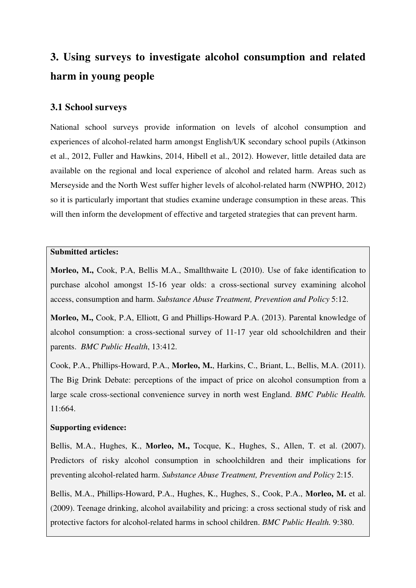# **3. Using surveys to investigate alcohol consumption and related harm in young people**

#### **3.1 School surveys**

National school surveys provide information on levels of alcohol consumption and experiences of alcohol-related harm amongst English/UK secondary school pupils (Atkinson et al., 2012, Fuller and Hawkins, 2014, Hibell et al., 2012). However, little detailed data are available on the regional and local experience of alcohol and related harm. Areas such as Merseyside and the North West suffer higher levels of alcohol-related harm (NWPHO, 2012) so it is particularly important that studies examine underage consumption in these areas. This will then inform the development of effective and targeted strategies that can prevent harm.

#### **Submitted articles:**

**Morleo, M.,** Cook, P.A, Bellis M.A., Smallthwaite L (2010). Use of fake identification to purchase alcohol amongst 15-16 year olds: a cross-sectional survey examining alcohol access, consumption and harm. *Substance Abuse Treatment, Prevention and Policy* 5:12.

**Morleo, M.,** Cook, P.A, Elliott, G and Phillips-Howard P.A. (2013). Parental knowledge of alcohol consumption: a cross-sectional survey of 11-17 year old schoolchildren and their parents. *BMC Public Health*, 13:412.

Cook, P.A., Phillips-Howard, P.A., **Morleo, M.**, Harkins, C., Briant, L., Bellis, M.A. (2011). The Big Drink Debate: perceptions of the impact of price on alcohol consumption from a large scale cross-sectional convenience survey in north west England. *BMC Public Health.*  11:664.

#### **Supporting evidence:**

Bellis, M.A., Hughes, K., **Morleo, M.,** Tocque, K., Hughes, S., Allen, T. et al. (2007). Predictors of risky alcohol consumption in schoolchildren and their implications for preventing alcohol-related harm. *Substance Abuse Treatment, Prevention and Policy* 2:15.

Bellis, M.A., Phillips-Howard, P.A., Hughes, K., Hughes, S., Cook, P.A., **Morleo, M.** et al. (2009). Teenage drinking, alcohol availability and pricing: a cross sectional study of risk and protective factors for alcohol-related harms in school children. *BMC Public Health.* 9:380.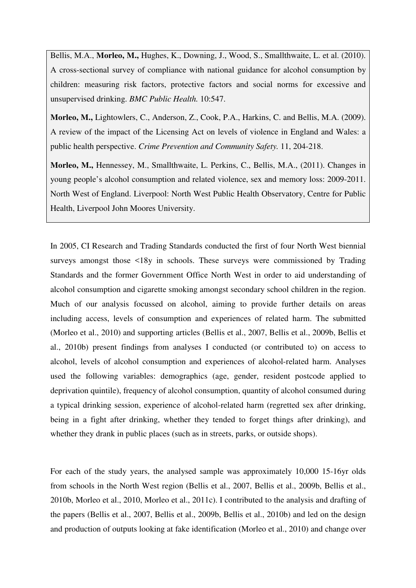Bellis, M.A., **Morleo, M.,** Hughes, K., Downing, J., Wood, S., Smallthwaite, L. et al. (2010). A cross-sectional survey of compliance with national guidance for alcohol consumption by children: measuring risk factors, protective factors and social norms for excessive and unsupervised drinking. *BMC Public Health.* 10:547.

**Morleo, M.,** Lightowlers, C., Anderson, Z., Cook, P.A., Harkins, C. and Bellis, M.A. (2009). A review of the impact of the Licensing Act on levels of violence in England and Wales: a public health perspective. *Crime Prevention and Community Safety.* 11, 204-218.

**Morleo, M.,** Hennessey, M., Smallthwaite, L. Perkins, C., Bellis, M.A., (2011). Changes in young people's alcohol consumption and related violence, sex and memory loss: 2009-2011. North West of England. Liverpool: North West Public Health Observatory, Centre for Public Health, Liverpool John Moores University.

In 2005, CI Research and Trading Standards conducted the first of four North West biennial surveys amongst those <18y in schools. These surveys were commissioned by Trading Standards and the former Government Office North West in order to aid understanding of alcohol consumption and cigarette smoking amongst secondary school children in the region. Much of our analysis focussed on alcohol, aiming to provide further details on areas including access, levels of consumption and experiences of related harm. The submitted (Morleo et al., 2010) and supporting articles (Bellis et al., 2007, Bellis et al., 2009b, Bellis et al., 2010b) present findings from analyses I conducted (or contributed to) on access to alcohol, levels of alcohol consumption and experiences of alcohol-related harm. Analyses used the following variables: demographics (age, gender, resident postcode applied to deprivation quintile), frequency of alcohol consumption, quantity of alcohol consumed during a typical drinking session, experience of alcohol-related harm (regretted sex after drinking, being in a fight after drinking, whether they tended to forget things after drinking), and whether they drank in public places (such as in streets, parks, or outside shops).

For each of the study years, the analysed sample was approximately 10,000 15-16yr olds from schools in the North West region (Bellis et al., 2007, Bellis et al., 2009b, Bellis et al., 2010b, Morleo et al., 2010, Morleo et al., 2011c). I contributed to the analysis and drafting of the papers (Bellis et al., 2007, Bellis et al., 2009b, Bellis et al., 2010b) and led on the design and production of outputs looking at fake identification (Morleo et al., 2010) and change over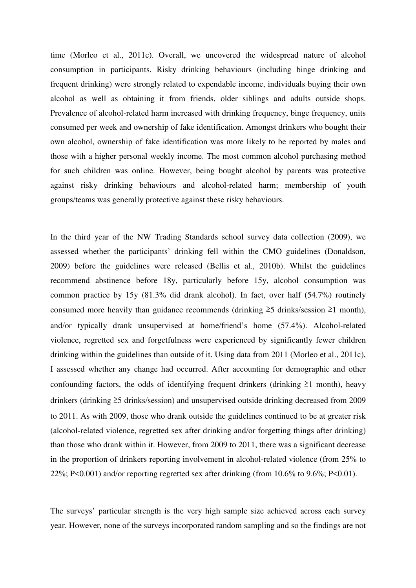time (Morleo et al., 2011c). Overall, we uncovered the widespread nature of alcohol consumption in participants. Risky drinking behaviours (including binge drinking and frequent drinking) were strongly related to expendable income, individuals buying their own alcohol as well as obtaining it from friends, older siblings and adults outside shops. Prevalence of alcohol-related harm increased with drinking frequency, binge frequency, units consumed per week and ownership of fake identification. Amongst drinkers who bought their own alcohol, ownership of fake identification was more likely to be reported by males and those with a higher personal weekly income. The most common alcohol purchasing method for such children was online. However, being bought alcohol by parents was protective against risky drinking behaviours and alcohol-related harm; membership of youth groups/teams was generally protective against these risky behaviours.

In the third year of the NW Trading Standards school survey data collection (2009), we assessed whether the participants' drinking fell within the CMO guidelines (Donaldson, 2009) before the guidelines were released (Bellis et al., 2010b). Whilst the guidelines recommend abstinence before 18y, particularly before 15y, alcohol consumption was common practice by 15y (81.3% did drank alcohol). In fact, over half (54.7%) routinely consumed more heavily than guidance recommends (drinking  $\geq$ 5 drinks/session  $\geq$ 1 month), and/or typically drank unsupervised at home/friend's home (57.4%). Alcohol-related violence, regretted sex and forgetfulness were experienced by significantly fewer children drinking within the guidelines than outside of it. Using data from 2011 (Morleo et al., 2011c), I assessed whether any change had occurred. After accounting for demographic and other confounding factors, the odds of identifying frequent drinkers (drinking ≥1 month), heavy drinkers (drinking ≥5 drinks/session) and unsupervised outside drinking decreased from 2009 to 2011. As with 2009, those who drank outside the guidelines continued to be at greater risk (alcohol-related violence, regretted sex after drinking and/or forgetting things after drinking) than those who drank within it. However, from 2009 to 2011, there was a significant decrease in the proportion of drinkers reporting involvement in alcohol-related violence (from 25% to 22%; P<0.001) and/or reporting regretted sex after drinking (from 10.6% to 9.6%; P<0.01).

The surveys' particular strength is the very high sample size achieved across each survey year. However, none of the surveys incorporated random sampling and so the findings are not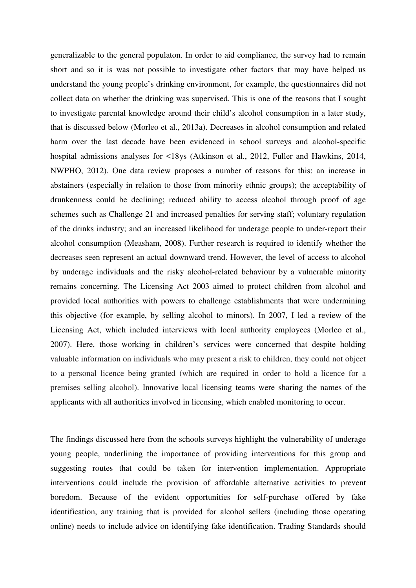generalizable to the general populaton. In order to aid compliance, the survey had to remain short and so it is was not possible to investigate other factors that may have helped us understand the young people's drinking environment, for example, the questionnaires did not collect data on whether the drinking was supervised. This is one of the reasons that I sought to investigate parental knowledge around their child's alcohol consumption in a later study, that is discussed below (Morleo et al., 2013a). Decreases in alcohol consumption and related harm over the last decade have been evidenced in school surveys and alcohol-specific hospital admissions analyses for <18ys (Atkinson et al., 2012, Fuller and Hawkins, 2014, NWPHO, 2012). One data review proposes a number of reasons for this: an increase in abstainers (especially in relation to those from minority ethnic groups); the acceptability of drunkenness could be declining; reduced ability to access alcohol through proof of age schemes such as Challenge 21 and increased penalties for serving staff; voluntary regulation of the drinks industry; and an increased likelihood for underage people to under-report their alcohol consumption (Measham, 2008). Further research is required to identify whether the decreases seen represent an actual downward trend. However, the level of access to alcohol by underage individuals and the risky alcohol-related behaviour by a vulnerable minority remains concerning. The Licensing Act 2003 aimed to protect children from alcohol and provided local authorities with powers to challenge establishments that were undermining this objective (for example, by selling alcohol to minors). In 2007, I led a review of the Licensing Act, which included interviews with local authority employees (Morleo et al., 2007). Here, those working in children's services were concerned that despite holding valuable information on individuals who may present a risk to children, they could not object to a personal licence being granted (which are required in order to hold a licence for a premises selling alcohol). Innovative local licensing teams were sharing the names of the applicants with all authorities involved in licensing, which enabled monitoring to occur.

The findings discussed here from the schools surveys highlight the vulnerability of underage young people, underlining the importance of providing interventions for this group and suggesting routes that could be taken for intervention implementation. Appropriate interventions could include the provision of affordable alternative activities to prevent boredom. Because of the evident opportunities for self-purchase offered by fake identification, any training that is provided for alcohol sellers (including those operating online) needs to include advice on identifying fake identification. Trading Standards should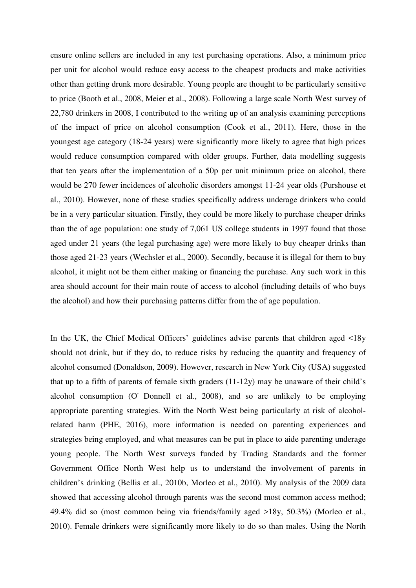ensure online sellers are included in any test purchasing operations. Also, a minimum price per unit for alcohol would reduce easy access to the cheapest products and make activities other than getting drunk more desirable. Young people are thought to be particularly sensitive to price (Booth et al., 2008, Meier et al., 2008). Following a large scale North West survey of 22,780 drinkers in 2008, I contributed to the writing up of an analysis examining perceptions of the impact of price on alcohol consumption (Cook et al., 2011). Here, those in the youngest age category (18-24 years) were significantly more likely to agree that high prices would reduce consumption compared with older groups. Further, data modelling suggests that ten years after the implementation of a 50p per unit minimum price on alcohol, there would be 270 fewer incidences of alcoholic disorders amongst 11-24 year olds (Purshouse et al., 2010). However, none of these studies specifically address underage drinkers who could be in a very particular situation. Firstly, they could be more likely to purchase cheaper drinks than the of age population: one study of 7,061 US college students in 1997 found that those aged under 21 years (the legal purchasing age) were more likely to buy cheaper drinks than those aged 21-23 years (Wechsler et al., 2000). Secondly, because it is illegal for them to buy alcohol, it might not be them either making or financing the purchase. Any such work in this area should account for their main route of access to alcohol (including details of who buys the alcohol) and how their purchasing patterns differ from the of age population.

In the UK, the Chief Medical Officers' guidelines advise parents that children aged <18y should not drink, but if they do, to reduce risks by reducing the quantity and frequency of alcohol consumed (Donaldson, 2009). However, research in New York City (USA) suggested that up to a fifth of parents of female sixth graders (11-12y) may be unaware of their child's alcohol consumption (O' Donnell et al., 2008), and so are unlikely to be employing appropriate parenting strategies. With the North West being particularly at risk of alcoholrelated harm (PHE, 2016), more information is needed on parenting experiences and strategies being employed, and what measures can be put in place to aide parenting underage young people. The North West surveys funded by Trading Standards and the former Government Office North West help us to understand the involvement of parents in children's drinking (Bellis et al., 2010b, Morleo et al., 2010). My analysis of the 2009 data showed that accessing alcohol through parents was the second most common access method; 49.4% did so (most common being via friends/family aged >18y, 50.3%) (Morleo et al., 2010). Female drinkers were significantly more likely to do so than males. Using the North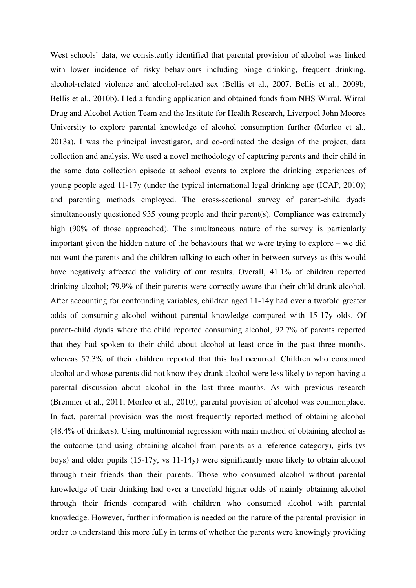West schools' data, we consistently identified that parental provision of alcohol was linked with lower incidence of risky behaviours including binge drinking, frequent drinking, alcohol-related violence and alcohol-related sex (Bellis et al., 2007, Bellis et al., 2009b, Bellis et al., 2010b). I led a funding application and obtained funds from NHS Wirral, Wirral Drug and Alcohol Action Team and the Institute for Health Research, Liverpool John Moores University to explore parental knowledge of alcohol consumption further (Morleo et al., 2013a). I was the principal investigator, and co-ordinated the design of the project, data collection and analysis. We used a novel methodology of capturing parents and their child in the same data collection episode at school events to explore the drinking experiences of young people aged 11-17y (under the typical international legal drinking age (ICAP, 2010)) and parenting methods employed. The cross-sectional survey of parent-child dyads simultaneously questioned 935 young people and their parent(s). Compliance was extremely high (90% of those approached). The simultaneous nature of the survey is particularly important given the hidden nature of the behaviours that we were trying to explore – we did not want the parents and the children talking to each other in between surveys as this would have negatively affected the validity of our results. Overall, 41.1% of children reported drinking alcohol; 79.9% of their parents were correctly aware that their child drank alcohol. After accounting for confounding variables, children aged 11-14y had over a twofold greater odds of consuming alcohol without parental knowledge compared with 15-17y olds. Of parent-child dyads where the child reported consuming alcohol, 92.7% of parents reported that they had spoken to their child about alcohol at least once in the past three months, whereas 57.3% of their children reported that this had occurred. Children who consumed alcohol and whose parents did not know they drank alcohol were less likely to report having a parental discussion about alcohol in the last three months. As with previous research (Bremner et al., 2011, Morleo et al., 2010), parental provision of alcohol was commonplace. In fact, parental provision was the most frequently reported method of obtaining alcohol (48.4% of drinkers). Using multinomial regression with main method of obtaining alcohol as the outcome (and using obtaining alcohol from parents as a reference category), girls (vs boys) and older pupils (15-17y, vs 11-14y) were significantly more likely to obtain alcohol through their friends than their parents. Those who consumed alcohol without parental knowledge of their drinking had over a threefold higher odds of mainly obtaining alcohol through their friends compared with children who consumed alcohol with parental knowledge. However, further information is needed on the nature of the parental provision in order to understand this more fully in terms of whether the parents were knowingly providing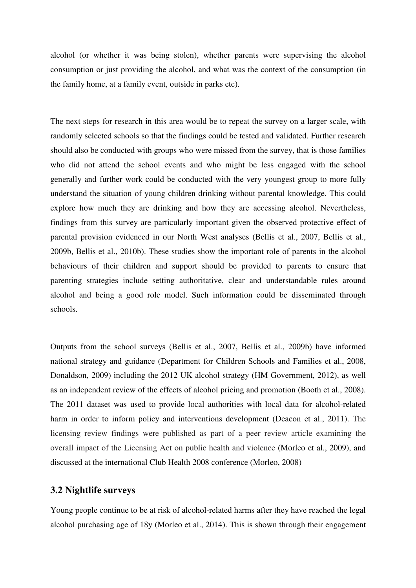alcohol (or whether it was being stolen), whether parents were supervising the alcohol consumption or just providing the alcohol, and what was the context of the consumption (in the family home, at a family event, outside in parks etc).

The next steps for research in this area would be to repeat the survey on a larger scale, with randomly selected schools so that the findings could be tested and validated. Further research should also be conducted with groups who were missed from the survey, that is those families who did not attend the school events and who might be less engaged with the school generally and further work could be conducted with the very youngest group to more fully understand the situation of young children drinking without parental knowledge. This could explore how much they are drinking and how they are accessing alcohol. Nevertheless, findings from this survey are particularly important given the observed protective effect of parental provision evidenced in our North West analyses (Bellis et al., 2007, Bellis et al., 2009b, Bellis et al., 2010b). These studies show the important role of parents in the alcohol behaviours of their children and support should be provided to parents to ensure that parenting strategies include setting authoritative, clear and understandable rules around alcohol and being a good role model. Such information could be disseminated through schools.

Outputs from the school surveys (Bellis et al., 2007, Bellis et al., 2009b) have informed national strategy and guidance (Department for Children Schools and Families et al., 2008, Donaldson, 2009) including the 2012 UK alcohol strategy (HM Government, 2012), as well as an independent review of the effects of alcohol pricing and promotion (Booth et al., 2008). The 2011 dataset was used to provide local authorities with local data for alcohol-related harm in order to inform policy and interventions development (Deacon et al., 2011). The licensing review findings were published as part of a peer review article examining the overall impact of the Licensing Act on public health and violence (Morleo et al., 2009), and discussed at the international Club Health 2008 conference (Morleo, 2008)

#### **3.2 Nightlife surveys**

Young people continue to be at risk of alcohol-related harms after they have reached the legal alcohol purchasing age of 18y (Morleo et al., 2014). This is shown through their engagement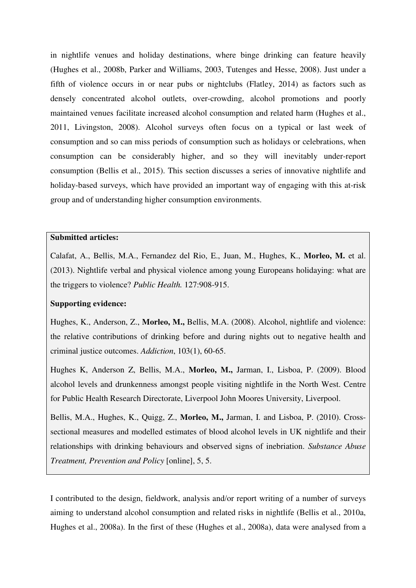in nightlife venues and holiday destinations, where binge drinking can feature heavily (Hughes et al., 2008b, Parker and Williams, 2003, Tutenges and Hesse, 2008). Just under a fifth of violence occurs in or near pubs or nightclubs (Flatley, 2014) as factors such as densely concentrated alcohol outlets, over-crowding, alcohol promotions and poorly maintained venues facilitate increased alcohol consumption and related harm (Hughes et al., 2011, Livingston, 2008). Alcohol surveys often focus on a typical or last week of consumption and so can miss periods of consumption such as holidays or celebrations, when consumption can be considerably higher, and so they will inevitably under-report consumption (Bellis et al., 2015). This section discusses a series of innovative nightlife and holiday-based surveys, which have provided an important way of engaging with this at-risk group and of understanding higher consumption environments.

#### **Submitted articles:**

Calafat, A., Bellis, M.A., Fernandez del Rio, E., Juan, M., Hughes, K., **Morleo, M.** et al. (2013). Nightlife verbal and physical violence among young Europeans holidaying: what are the triggers to violence? *Public Health.* 127:908-915.

#### **Supporting evidence:**

Hughes, K., Anderson, Z., **Morleo, M.,** Bellis, M.A. (2008). Alcohol, nightlife and violence: the relative contributions of drinking before and during nights out to negative health and criminal justice outcomes. *Addiction*, 103(1), 60-65.

Hughes K, Anderson Z, Bellis, M.A., **Morleo, M.,** Jarman, I., Lisboa, P. (2009). Blood alcohol levels and drunkenness amongst people visiting nightlife in the North West. Centre for Public Health Research Directorate, Liverpool John Moores University, Liverpool.

Bellis, M.A., Hughes, K., Quigg, Z., **Morleo, M.,** Jarman, I. and Lisboa, P. (2010). Crosssectional measures and modelled estimates of blood alcohol levels in UK nightlife and their relationships with drinking behaviours and observed signs of inebriation. *Substance Abuse Treatment, Prevention and Policy* [online], 5, 5.

I contributed to the design, fieldwork, analysis and/or report writing of a number of surveys aiming to understand alcohol consumption and related risks in nightlife (Bellis et al., 2010a, Hughes et al., 2008a). In the first of these (Hughes et al., 2008a), data were analysed from a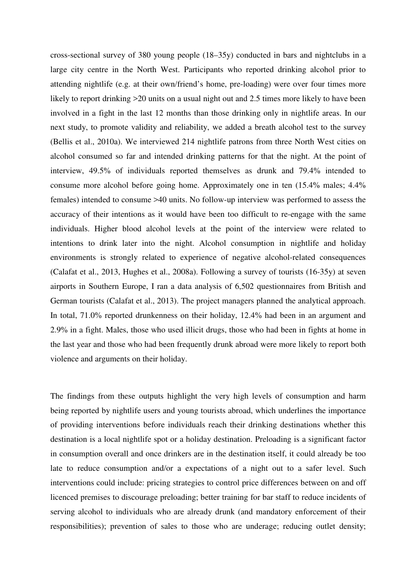cross-sectional survey of 380 young people (18–35y) conducted in bars and nightclubs in a large city centre in the North West. Participants who reported drinking alcohol prior to attending nightlife (e.g. at their own/friend's home, pre-loading) were over four times more likely to report drinking  $>20$  units on a usual night out and 2.5 times more likely to have been involved in a fight in the last 12 months than those drinking only in nightlife areas. In our next study, to promote validity and reliability, we added a breath alcohol test to the survey (Bellis et al., 2010a). We interviewed 214 nightlife patrons from three North West cities on alcohol consumed so far and intended drinking patterns for that the night. At the point of interview, 49.5% of individuals reported themselves as drunk and 79.4% intended to consume more alcohol before going home. Approximately one in ten (15.4% males; 4.4% females) intended to consume >40 units. No follow-up interview was performed to assess the accuracy of their intentions as it would have been too difficult to re-engage with the same individuals. Higher blood alcohol levels at the point of the interview were related to intentions to drink later into the night. Alcohol consumption in nightlife and holiday environments is strongly related to experience of negative alcohol-related consequences (Calafat et al., 2013, Hughes et al., 2008a). Following a survey of tourists (16-35y) at seven airports in Southern Europe, I ran a data analysis of 6,502 questionnaires from British and German tourists (Calafat et al., 2013). The project managers planned the analytical approach. In total, 71.0% reported drunkenness on their holiday, 12.4% had been in an argument and 2.9% in a fight. Males, those who used illicit drugs, those who had been in fights at home in the last year and those who had been frequently drunk abroad were more likely to report both violence and arguments on their holiday.

The findings from these outputs highlight the very high levels of consumption and harm being reported by nightlife users and young tourists abroad, which underlines the importance of providing interventions before individuals reach their drinking destinations whether this destination is a local nightlife spot or a holiday destination. Preloading is a significant factor in consumption overall and once drinkers are in the destination itself, it could already be too late to reduce consumption and/or a expectations of a night out to a safer level. Such interventions could include: pricing strategies to control price differences between on and off licenced premises to discourage preloading; better training for bar staff to reduce incidents of serving alcohol to individuals who are already drunk (and mandatory enforcement of their responsibilities); prevention of sales to those who are underage; reducing outlet density;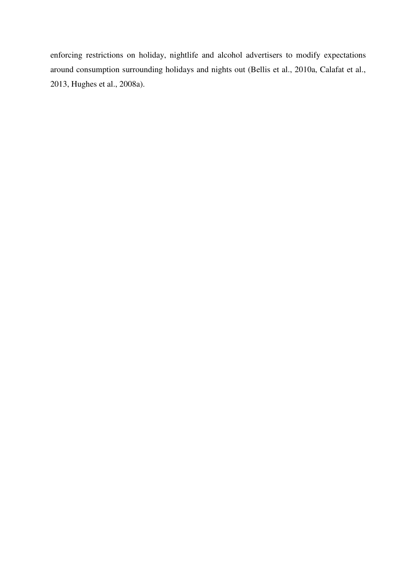enforcing restrictions on holiday, nightlife and alcohol advertisers to modify expectations around consumption surrounding holidays and nights out (Bellis et al., 2010a, Calafat et al., 2013, Hughes et al., 2008a).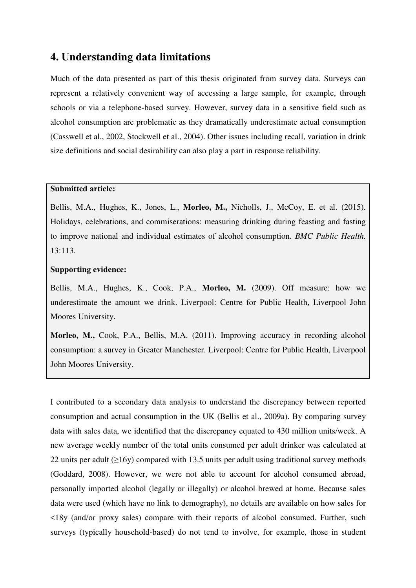## **4. Understanding data limitations**

Much of the data presented as part of this thesis originated from survey data. Surveys can represent a relatively convenient way of accessing a large sample, for example, through schools or via a telephone-based survey. However, survey data in a sensitive field such as alcohol consumption are problematic as they dramatically underestimate actual consumption (Casswell et al., 2002, Stockwell et al., 2004). Other issues including recall, variation in drink size definitions and social desirability can also play a part in response reliability.

#### **Submitted article:**

Bellis, M.A., Hughes, K., Jones, L., **Morleo, M.,** Nicholls, J., McCoy, E. et al. (2015). Holidays, celebrations, and commiserations: measuring drinking during feasting and fasting to improve national and individual estimates of alcohol consumption. *BMC Public Health.*  13:113.

#### **Supporting evidence:**

Bellis, M.A., Hughes, K., Cook, P.A., **Morleo, M.** (2009). Off measure: how we underestimate the amount we drink. Liverpool: Centre for Public Health, Liverpool John Moores University.

**Morleo, M.,** Cook, P.A., Bellis, M.A. (2011). Improving accuracy in recording alcohol consumption: a survey in Greater Manchester. Liverpool: Centre for Public Health, Liverpool John Moores University.

I contributed to a secondary data analysis to understand the discrepancy between reported consumption and actual consumption in the UK (Bellis et al., 2009a). By comparing survey data with sales data, we identified that the discrepancy equated to 430 million units/week. A new average weekly number of the total units consumed per adult drinker was calculated at 22 units per adult  $(\geq 16y)$  compared with 13.5 units per adult using traditional survey methods (Goddard, 2008). However, we were not able to account for alcohol consumed abroad, personally imported alcohol (legally or illegally) or alcohol brewed at home. Because sales data were used (which have no link to demography), no details are available on how sales for <18y (and/or proxy sales) compare with their reports of alcohol consumed. Further, such surveys (typically household-based) do not tend to involve, for example, those in student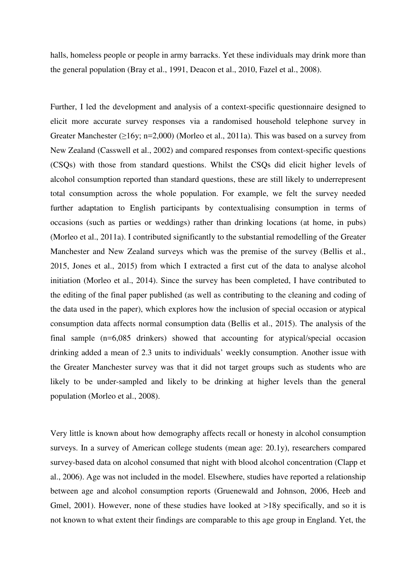halls, homeless people or people in army barracks. Yet these individuals may drink more than the general population (Bray et al., 1991, Deacon et al., 2010, Fazel et al., 2008).

Further, I led the development and analysis of a context-specific questionnaire designed to elicit more accurate survey responses via a randomised household telephone survey in Greater Manchester  $(\geq 16y; n=2,000)$  (Morleo et al., 2011a). This was based on a survey from New Zealand (Casswell et al., 2002) and compared responses from context-specific questions (CSQs) with those from standard questions. Whilst the CSQs did elicit higher levels of alcohol consumption reported than standard questions, these are still likely to underrepresent total consumption across the whole population. For example, we felt the survey needed further adaptation to English participants by contextualising consumption in terms of occasions (such as parties or weddings) rather than drinking locations (at home, in pubs) (Morleo et al., 2011a). I contributed significantly to the substantial remodelling of the Greater Manchester and New Zealand surveys which was the premise of the survey (Bellis et al., 2015, Jones et al., 2015) from which I extracted a first cut of the data to analyse alcohol initiation (Morleo et al., 2014). Since the survey has been completed, I have contributed to the editing of the final paper published (as well as contributing to the cleaning and coding of the data used in the paper), which explores how the inclusion of special occasion or atypical consumption data affects normal consumption data (Bellis et al., 2015). The analysis of the final sample (n=6,085 drinkers) showed that accounting for atypical/special occasion drinking added a mean of 2.3 units to individuals' weekly consumption. Another issue with the Greater Manchester survey was that it did not target groups such as students who are likely to be under-sampled and likely to be drinking at higher levels than the general population (Morleo et al., 2008).

Very little is known about how demography affects recall or honesty in alcohol consumption surveys. In a survey of American college students (mean age: 20.1y), researchers compared survey-based data on alcohol consumed that night with blood alcohol concentration (Clapp et al., 2006). Age was not included in the model. Elsewhere, studies have reported a relationship between age and alcohol consumption reports (Gruenewald and Johnson, 2006, Heeb and Gmel, 2001). However, none of these studies have looked at >18y specifically, and so it is not known to what extent their findings are comparable to this age group in England. Yet, the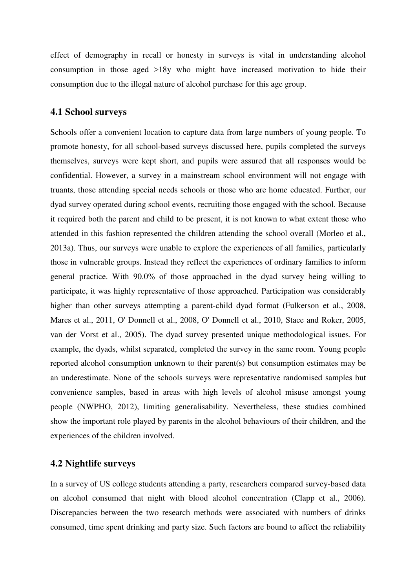effect of demography in recall or honesty in surveys is vital in understanding alcohol consumption in those aged >18y who might have increased motivation to hide their consumption due to the illegal nature of alcohol purchase for this age group.

#### **4.1 School surveys**

Schools offer a convenient location to capture data from large numbers of young people. To promote honesty, for all school-based surveys discussed here, pupils completed the surveys themselves, surveys were kept short, and pupils were assured that all responses would be confidential. However, a survey in a mainstream school environment will not engage with truants, those attending special needs schools or those who are home educated. Further, our dyad survey operated during school events, recruiting those engaged with the school. Because it required both the parent and child to be present, it is not known to what extent those who attended in this fashion represented the children attending the school overall (Morleo et al., 2013a). Thus, our surveys were unable to explore the experiences of all families, particularly those in vulnerable groups. Instead they reflect the experiences of ordinary families to inform general practice. With 90.0% of those approached in the dyad survey being willing to participate, it was highly representative of those approached. Participation was considerably higher than other surveys attempting a parent-child dyad format (Fulkerson et al., 2008, Mares et al., 2011, O' Donnell et al., 2008, O' Donnell et al., 2010, Stace and Roker, 2005, van der Vorst et al., 2005). The dyad survey presented unique methodological issues. For example, the dyads, whilst separated, completed the survey in the same room. Young people reported alcohol consumption unknown to their parent(s) but consumption estimates may be an underestimate. None of the schools surveys were representative randomised samples but convenience samples, based in areas with high levels of alcohol misuse amongst young people (NWPHO, 2012), limiting generalisability. Nevertheless, these studies combined show the important role played by parents in the alcohol behaviours of their children, and the experiences of the children involved.

#### **4.2 Nightlife surveys**

In a survey of US college students attending a party, researchers compared survey-based data on alcohol consumed that night with blood alcohol concentration (Clapp et al., 2006). Discrepancies between the two research methods were associated with numbers of drinks consumed, time spent drinking and party size. Such factors are bound to affect the reliability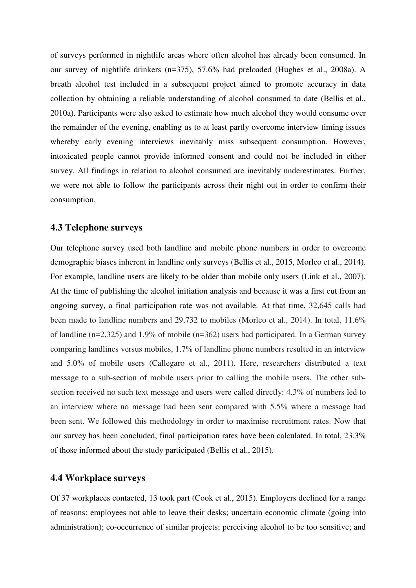of surveys performed in nightlife areas where often alcohol has already been consumed. In our survey of nightlife drinkers (n=375), 57.6% had preloaded (Hughes et al., 2008a). A breath alcohol test included in a subsequent project aimed to promote accuracy in data collection by obtaining a reliable understanding of alcohol consumed to date (Bellis et al., 2010a). Participants were also asked to estimate how much alcohol they would consume over the remainder of the evening, enabling us to at least partly overcome interview timing issues whereby early evening interviews inevitably miss subsequent consumption. However, intoxicated people cannot provide informed consent and could not be included in either survey. All findings in relation to alcohol consumed are inevitably underestimates. Further, we were not able to follow the participants across their night out in order to confirm their consumption.

#### **4.3 Telephone surveys**

Our telephone survey used both landline and mobile phone numbers in order to overcome demographic biases inherent in landline only surveys (Bellis et al., 2015, Morleo et al., 2014). For example, landline users are likely to be older than mobile only users (Link et al., 2007). At the time of publishing the alcohol initiation analysis and because it was a first cut from an ongoing survey, a final participation rate was not available. At that time, 32,645 calls had been made to landline numbers and 29,732 to mobiles (Morleo et al., 2014). In total, 11.6% of landline (n=2,325) and 1.9% of mobile (n=362) users had participated. In a German survey comparing landlines versus mobiles, 1.7% of landline phone numbers resulted in an interview and 5.0% of mobile users (Callegaro et al., 2011). Here, researchers distributed a text message to a sub-section of mobile users prior to calling the mobile users. The other subsection received no such text message and users were called directly: 4.3% of numbers led to an interview where no message had been sent compared with 5.5% where a message had been sent. We followed this methodology in order to maximise recruitment rates. Now that our survey has been concluded, final participation rates have been calculated. In total, 23.3% of those informed about the study participated (Bellis et al., 2015).

#### **4.4 Workplace surveys**

Of 37 workplaces contacted, 13 took part (Cook et al., 2015). Employers declined for a range of reasons: employees not able to leave their desks; uncertain economic climate (going into administration); co-occurrence of similar projects; perceiving alcohol to be too sensitive; and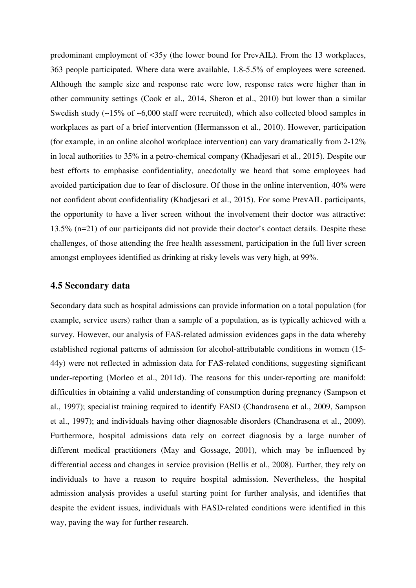predominant employment of <35y (the lower bound for PrevAIL). From the 13 workplaces, 363 people participated. Where data were available, 1.8-5.5% of employees were screened. Although the sample size and response rate were low, response rates were higher than in other community settings (Cook et al., 2014, Sheron et al., 2010) but lower than a similar Swedish study (~15% of ~6,000 staff were recruited), which also collected blood samples in workplaces as part of a brief intervention (Hermansson et al., 2010). However, participation (for example, in an online alcohol workplace intervention) can vary dramatically from 2-12% in local authorities to 35% in a petro-chemical company (Khadjesari et al., 2015). Despite our best efforts to emphasise confidentiality, anecdotally we heard that some employees had avoided participation due to fear of disclosure. Of those in the online intervention, 40% were not confident about confidentiality (Khadjesari et al., 2015). For some PrevAIL participants, the opportunity to have a liver screen without the involvement their doctor was attractive: 13.5% (n=21) of our participants did not provide their doctor's contact details. Despite these challenges, of those attending the free health assessment, participation in the full liver screen amongst employees identified as drinking at risky levels was very high, at 99%.

#### **4.5 Secondary data**

Secondary data such as hospital admissions can provide information on a total population (for example, service users) rather than a sample of a population, as is typically achieved with a survey. However, our analysis of FAS-related admission evidences gaps in the data whereby established regional patterns of admission for alcohol-attributable conditions in women (15- 44y) were not reflected in admission data for FAS-related conditions, suggesting significant under-reporting (Morleo et al., 2011d). The reasons for this under-reporting are manifold: difficulties in obtaining a valid understanding of consumption during pregnancy (Sampson et al., 1997); specialist training required to identify FASD (Chandrasena et al., 2009, Sampson et al., 1997); and individuals having other diagnosable disorders (Chandrasena et al., 2009). Furthermore, hospital admissions data rely on correct diagnosis by a large number of different medical practitioners (May and Gossage, 2001), which may be influenced by differential access and changes in service provision (Bellis et al., 2008). Further, they rely on individuals to have a reason to require hospital admission. Nevertheless, the hospital admission analysis provides a useful starting point for further analysis, and identifies that despite the evident issues, individuals with FASD-related conditions were identified in this way, paving the way for further research.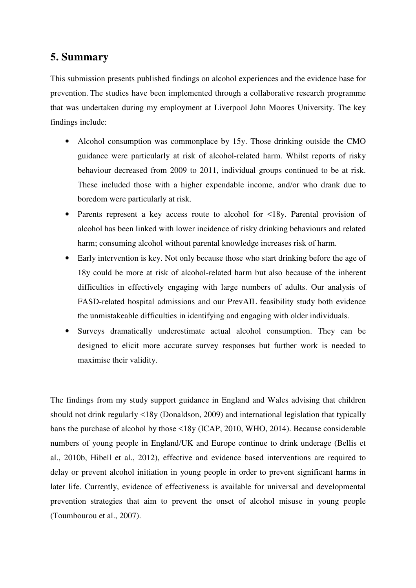# **5. Summary**

This submission presents published findings on alcohol experiences and the evidence base for prevention. The studies have been implemented through a collaborative research programme that was undertaken during my employment at Liverpool John Moores University. The key findings include:

- Alcohol consumption was commonplace by 15y. Those drinking outside the CMO guidance were particularly at risk of alcohol-related harm. Whilst reports of risky behaviour decreased from 2009 to 2011, individual groups continued to be at risk. These included those with a higher expendable income, and/or who drank due to boredom were particularly at risk.
- Parents represent a key access route to alcohol for <18y. Parental provision of alcohol has been linked with lower incidence of risky drinking behaviours and related harm; consuming alcohol without parental knowledge increases risk of harm.
- Early intervention is key. Not only because those who start drinking before the age of 18y could be more at risk of alcohol-related harm but also because of the inherent difficulties in effectively engaging with large numbers of adults. Our analysis of FASD-related hospital admissions and our PrevAIL feasibility study both evidence the unmistakeable difficulties in identifying and engaging with older individuals.
- Surveys dramatically underestimate actual alcohol consumption. They can be designed to elicit more accurate survey responses but further work is needed to maximise their validity.

The findings from my study support guidance in England and Wales advising that children should not drink regularly <18y (Donaldson, 2009) and international legislation that typically bans the purchase of alcohol by those <18y (ICAP, 2010, WHO, 2014). Because considerable numbers of young people in England/UK and Europe continue to drink underage (Bellis et al., 2010b, Hibell et al., 2012), effective and evidence based interventions are required to delay or prevent alcohol initiation in young people in order to prevent significant harms in later life. Currently, evidence of effectiveness is available for universal and developmental prevention strategies that aim to prevent the onset of alcohol misuse in young people (Toumbourou et al., 2007).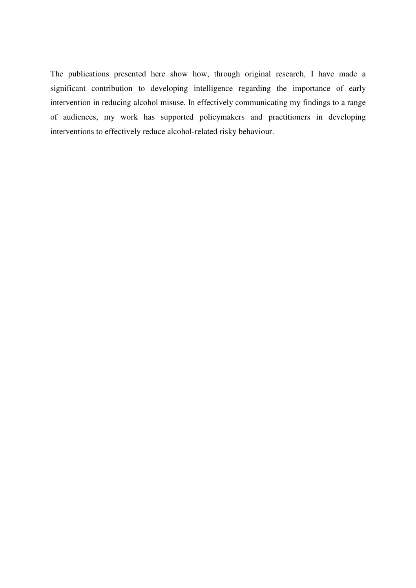The publications presented here show how, through original research, I have made a significant contribution to developing intelligence regarding the importance of early intervention in reducing alcohol misuse. In effectively communicating my findings to a range of audiences, my work has supported policymakers and practitioners in developing interventions to effectively reduce alcohol-related risky behaviour.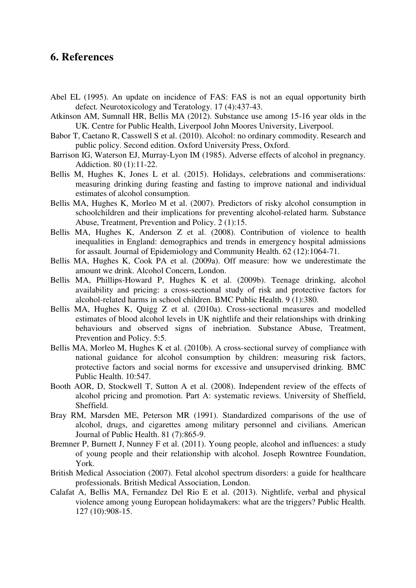## **6. References**

- Abel EL (1995). An update on incidence of FAS: FAS is not an equal opportunity birth defect*.* Neurotoxicology and Teratology. 17 (4):437-43.
- Atkinson AM, Sumnall HR, Bellis MA (2012). Substance use among 15-16 year olds in the UK. Centre for Public Health, Liverpool John Moores University, Liverpool.
- Babor T, Caetano R, Casswell S et al. (2010). Alcohol: no ordinary commodity. Research and public policy. Second edition. Oxford University Press, Oxford.
- Barrison IG, Waterson EJ, Murray-Lyon IM (1985). Adverse effects of alcohol in pregnancy*.* Addiction. 80 (1):11-22.
- Bellis M, Hughes K, Jones L et al. (2015). Holidays, celebrations and commiserations: measuring drinking during feasting and fasting to improve national and individual estimates of alcohol consumption*.*
- Bellis MA, Hughes K, Morleo M et al. (2007). Predictors of risky alcohol consumption in schoolchildren and their implications for preventing alcohol-related harm*.* Substance Abuse, Treatment, Prevention and Policy. 2 (1):15.
- Bellis MA, Hughes K, Anderson Z et al. (2008). Contribution of violence to health inequalities in England: demographics and trends in emergency hospital admissions for assault*.* Journal of Epidemiology and Community Health. 62 (12):1064-71.
- Bellis MA, Hughes K, Cook PA et al. (2009a). Off measure: how we underestimate the amount we drink. Alcohol Concern, London.
- Bellis MA, Phillips-Howard P, Hughes K et al. (2009b). Teenage drinking, alcohol availability and pricing: a cross-sectional study of risk and protective factors for alcohol-related harms in school children*.* BMC Public Health. 9 (1):380.
- Bellis MA, Hughes K, Quigg Z et al. (2010a). Cross-sectional measures and modelled estimates of blood alcohol levels in UK nightlife and their relationships with drinking behaviours and observed signs of inebriation*.* Substance Abuse, Treatment, Prevention and Policy. 5:5.
- Bellis MA, Morleo M, Hughes K et al. (2010b). A cross-sectional survey of compliance with national guidance for alcohol consumption by children: measuring risk factors, protective factors and social norms for excessive and unsupervised drinking*.* BMC Public Health. 10:547.
- Booth AOR, D, Stockwell T, Sutton A et al. (2008). Independent review of the effects of alcohol pricing and promotion. Part A: systematic reviews. University of Sheffield, Sheffield.
- Bray RM, Marsden ME, Peterson MR (1991). Standardized comparisons of the use of alcohol, drugs, and cigarettes among military personnel and civilians*.* American Journal of Public Health. 81 (7):865-9.
- Bremner P, Burnett J, Nunney F et al. (2011). Young people, alcohol and influences: a study of young people and their relationship with alcohol. Joseph Rowntree Foundation, York.
- British Medical Association (2007). Fetal alcohol spectrum disorders: a guide for healthcare professionals. British Medical Association, London.
- Calafat A, Bellis MA, Fernandez Del Rio E et al. (2013). Nightlife, verbal and physical violence among young European holidaymakers: what are the triggers? Public Health. 127 (10):908-15.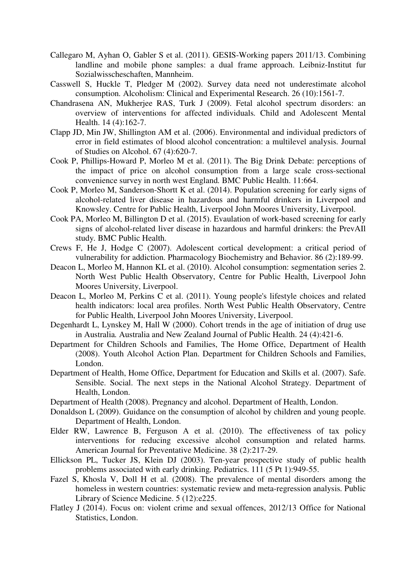- Callegaro M, Ayhan O, Gabler S et al. (2011). GESIS-Working papers 2011/13. Combining landline and mobile phone samples: a dual frame approach. Leibniz-Institut fur Sozialwisscheschaften, Mannheim.
- Casswell S, Huckle T, Pledger M (2002). Survey data need not underestimate alcohol consumption*.* Alcoholism: Clinical and Experimental Research. 26 (10):1561-7.
- Chandrasena AN, Mukherjee RAS, Turk J (2009). Fetal alcohol spectrum disorders: an overview of interventions for affected individuals*.* Child and Adolescent Mental Health. 14 (4):162-7.
- Clapp JD, Min JW, Shillington AM et al. (2006). Environmental and individual predictors of error in field estimates of blood alcohol concentration: a multilevel analysis*.* Journal of Studies on Alcohol. 67 (4):620-7.
- Cook P, Phillips-Howard P, Morleo M et al. (2011). The Big Drink Debate: perceptions of the impact of price on alcohol consumption from a large scale cross-sectional convenience survey in north west England*.* BMC Public Health. 11:664.
- Cook P, Morleo M, Sanderson-Shortt K et al. (2014). Population screening for early signs of alcohol-related liver disease in hazardous and harmful drinkers in Liverpool and Knowsley. Centre for Public Health, Liverpool John Moores University, Liverpool.
- Cook PA, Morleo M, Billington D et al. (2015). Evaulation of work-based screening for early signs of alcohol-related liver disease in hazardous and harmful drinkers: the PrevAIl study*.* BMC Public Health.
- Crews F, He J, Hodge C (2007). Adolescent cortical development: a critical period of vulnerability for addiction*.* Pharmacology Biochemistry and Behavior. 86 (2):189-99.
- Deacon L, Morleo M, Hannon KL et al. (2010). Alcohol consumption: segmentation series 2. North West Public Health Observatory, Centre for Public Health, Liverpool John Moores University, Liverpool.
- Deacon L, Morleo M, Perkins C et al. (2011). Young people's lifestyle choices and related health indicators: local area profiles. North West Public Health Observatory, Centre for Public Health, Liverpool John Moores University, Liverpool.
- Degenhardt L, Lynskey M, Hall W (2000). Cohort trends in the age of initiation of drug use in Australia*.* Australia and New Zealand Journal of Public Health. 24 (4):421-6.
- Department for Children Schools and Families, The Home Office, Department of Health (2008). Youth Alcohol Action Plan. Department for Children Schools and Families, London.
- Department of Health, Home Office, Department for Education and Skills et al. (2007). Safe. Sensible. Social. The next steps in the National Alcohol Strategy. Department of Health, London.
- Department of Health (2008). Pregnancy and alcohol. Department of Health, London.
- Donaldson L (2009). Guidance on the consumption of alcohol by children and young people. Department of Health, London.
- Elder RW, Lawrence B, Ferguson A et al. (2010). The effectiveness of tax policy interventions for reducing excessive alcohol consumption and related harms*.* American Journal for Preventative Medicine. 38 (2):217-29.
- Ellickson PL, Tucker JS, Klein DJ (2003). Ten-year prospective study of public health problems associated with early drinking*.* Pediatrics. 111 (5 Pt 1):949-55.
- Fazel S, Khosla V, Doll H et al. (2008). The prevalence of mental disorders among the homeless in western countries: systematic review and meta-regression analysis*.* Public Library of Science Medicine. 5 (12):e225.
- Flatley J (2014). Focus on: violent crime and sexual offences, 2012/13 Office for National Statistics, London.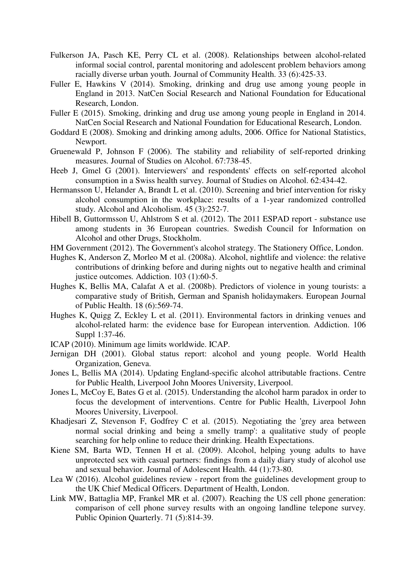- Fulkerson JA, Pasch KE, Perry CL et al. (2008). Relationships between alcohol-related informal social control, parental monitoring and adolescent problem behaviors among racially diverse urban youth*.* Journal of Community Health. 33 (6):425-33.
- Fuller E, Hawkins V (2014). Smoking, drinking and drug use among young people in England in 2013. NatCen Social Research and National Foundation for Educational Research, London.
- Fuller E (2015). Smoking, drinking and drug use among young people in England in 2014. NatCen Social Research and National Foundation for Educational Research, London.
- Goddard E (2008). Smoking and drinking among adults, 2006. Office for National Statistics, Newport.
- Gruenewald P, Johnson F (2006). The stability and reliability of self-reported drinking measures*.* Journal of Studies on Alcohol. 67:738-45.
- Heeb J, Gmel G (2001). Interviewers' and respondents' effects on self-reported alcohol consumption in a Swiss health survey*.* Journal of Studies on Alcohol. 62:434-42.
- Hermansson U, Helander A, Brandt L et al. (2010). Screening and brief intervention for risky alcohol consumption in the workplace: results of a 1-year randomized controlled study. Alcohol and Alcoholism. 45 (3):252-7.
- Hibell B, Guttormsson U, Ahlstrom S et al. (2012). The 2011 ESPAD report substance use among students in 36 European countries. Swedish Council for Information on Alcohol and other Drugs, Stockholm.
- HM Government (2012). The Government's alcohol strategy. The Stationery Office, London.
- Hughes K, Anderson Z, Morleo M et al. (2008a). Alcohol, nightlife and violence: the relative contributions of drinking before and during nights out to negative health and criminal justice outcomes*.* Addiction. 103 (1):60-5.
- Hughes K, Bellis MA, Calafat A et al. (2008b). Predictors of violence in young tourists: a comparative study of British, German and Spanish holidaymakers*.* European Journal of Public Health. 18 (6):569-74.
- Hughes K, Quigg Z, Eckley L et al. (2011). Environmental factors in drinking venues and alcohol-related harm: the evidence base for European intervention*.* Addiction. 106 Suppl 1:37-46.
- ICAP (2010). Minimum age limits worldwide. ICAP.
- Jernigan DH (2001). Global status report: alcohol and young people. World Health Organization, Geneva.
- Jones L, Bellis MA (2014). Updating England-specific alcohol attributable fractions. Centre for Public Health, Liverpool John Moores University, Liverpool.
- Jones L, McCoy E, Bates G et al. (2015). Understanding the alcohol harm paradox in order to focus the development of interventions. Centre for Public Health, Liverpool John Moores University, Liverpool.
- Khadjesari Z, Stevenson F, Godfrey C et al. (2015). Negotiating the 'grey area between normal social drinking and being a smelly tramp': a qualitative study of people searching for help online to reduce their drinking*.* Health Expectations.
- Kiene SM, Barta WD, Tennen H et al. (2009). Alcohol, helping young adults to have unprotected sex with casual partners: findings from a daily diary study of alcohol use and sexual behavior*.* Journal of Adolescent Health. 44 (1):73-80.
- Lea W (2016). Alcohol guidelines review report from the guidelines development group to the UK Chief Medical Officers. Department of Health, London.
- Link MW, Battaglia MP, Frankel MR et al. (2007). Reaching the US cell phone generation: comparison of cell phone survey results with an ongoing landline telepone survey*.* Public Opinion Quarterly. 71 (5):814-39.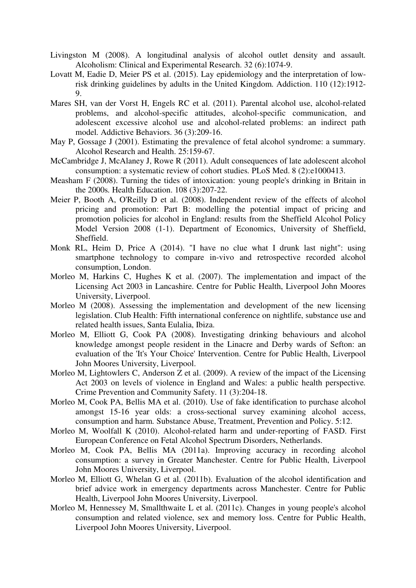- Livingston M (2008). A longitudinal analysis of alcohol outlet density and assault*.* Alcoholism: Clinical and Experimental Research. 32 (6):1074-9.
- Lovatt M, Eadie D, Meier PS et al. (2015). Lay epidemiology and the interpretation of lowrisk drinking guidelines by adults in the United Kingdom*.* Addiction. 110 (12):1912- 9.
- Mares SH, van der Vorst H, Engels RC et al. (2011). Parental alcohol use, alcohol-related problems, and alcohol-specific attitudes, alcohol-specific communication, and adolescent excessive alcohol use and alcohol-related problems: an indirect path model*.* Addictive Behaviors. 36 (3):209-16.
- May P, Gossage J (2001). Estimating the prevalence of fetal alcohol syndrome: a summary*.* Alcohol Research and Health. 25:159-67.
- McCambridge J, McAlaney J, Rowe R (2011). Adult consequences of late adolescent alcohol consumption: a systematic review of cohort studies*.* PLoS Med. 8 (2):e1000413.
- Measham F (2008). Turning the tides of intoxication: young people's drinking in Britain in the 2000s*.* Health Education. 108 (3):207-22.
- Meier P, Booth A, O'Reilly D et al. (2008). Independent review of the effects of alcohol pricing and promotion: Part B: modelling the potential impact of pricing and promotion policies for alcohol in England: results from the Sheffield Alcohol Policy Model Version 2008 (1-1). Department of Economics, University of Sheffield, Sheffield.
- Monk RL, Heim D, Price A (2014). "I have no clue what I drunk last night": using smartphone technology to compare in-vivo and retrospective recorded alcohol consumption, London.
- Morleo M, Harkins C, Hughes K et al. (2007). The implementation and impact of the Licensing Act 2003 in Lancashire. Centre for Public Health, Liverpool John Moores University, Liverpool.
- Morleo M (2008). Assessing the implementation and development of the new licensing legislation. Club Health: Fifth international conference on nightlife, substance use and related health issues, Santa Eulalia, Ibiza.
- Morleo M, Elliott G, Cook PA (2008). Investigating drinking behaviours and alcohol knowledge amongst people resident in the Linacre and Derby wards of Sefton: an evaluation of the 'It's Your Choice' Intervention. Centre for Public Health, Liverpool John Moores University, Liverpool.
- Morleo M, Lightowlers C, Anderson Z et al. (2009). A review of the impact of the Licensing Act 2003 on levels of violence in England and Wales: a public health perspective*.* Crime Prevention and Community Safety. 11 (3):204-18.
- Morleo M, Cook PA, Bellis MA et al. (2010). Use of fake identification to purchase alcohol amongst 15-16 year olds: a cross-sectional survey examining alcohol access, consumption and harm*.* Substance Abuse, Treatment, Prevention and Policy. 5:12.
- Morleo M, Woolfall K (2010). Alcohol-related harm and under-reporting of FASD. First European Conference on Fetal Alcohol Spectrum Disorders, Netherlands.
- Morleo M, Cook PA, Bellis MA (2011a). Improving accuracy in recording alcohol consumption: a survey in Greater Manchester. Centre for Public Health, Liverpool John Moores University, Liverpool.
- Morleo M, Elliott G, Whelan G et al. (2011b). Evaluation of the alcohol identification and brief advice work in emergency departments across Manchester. Centre for Public Health, Liverpool John Moores University, Liverpool.
- Morleo M, Hennessey M, Smallthwaite L et al. (2011c). Changes in young people's alcohol consumption and related violence, sex and memory loss. Centre for Public Health, Liverpool John Moores University, Liverpool.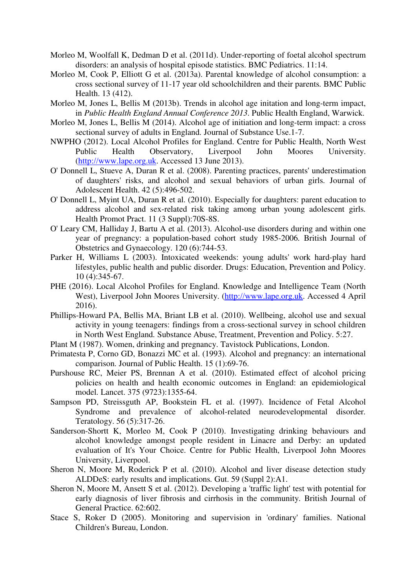- Morleo M, Woolfall K, Dedman D et al. (2011d). Under-reporting of foetal alcohol spectrum disorders: an analysis of hospital episode statistics*.* BMC Pediatrics. 11:14.
- Morleo M, Cook P, Elliott G et al. (2013a). Parental knowledge of alcohol consumption: a cross sectional survey of 11-17 year old schoolchildren and their parents*.* BMC Public Health. 13 (412).
- Morleo M, Jones L, Bellis M (2013b). Trends in alcohol age initation and long-term impact, in *Public Health England Annual Conference 2013*. Public Health England, Warwick.
- Morleo M, Jones L, Bellis M (2014). Alcohol age of initiation and long-term impact: a cross sectional survey of adults in England*.* Journal of Substance Use.1-7.
- NWPHO (2012). Local Alcohol Profiles for England. Centre for Public Health, North West Public Health Observatory, Liverpool John Moores University. (http://www.lape.org.uk. Accessed 13 June 2013).
- O' Donnell L, Stueve A, Duran R et al. (2008). Parenting practices, parents' underestimation of daughters' risks, and alcohol and sexual behaviors of urban girls*.* Journal of Adolescent Health. 42 (5):496-502.
- O' Donnell L, Myint UA, Duran R et al. (2010). Especially for daughters: parent education to address alcohol and sex-related risk taking among urban young adolescent girls*.* Health Promot Pract. 11 (3 Suppl):70S-8S.
- O' Leary CM, Halliday J, Bartu A et al. (2013). Alcohol-use disorders during and within one year of pregnancy: a population-based cohort study 1985-2006*.* British Journal of Obstetrics and Gynaecology. 120 (6):744-53.
- Parker H, Williams L (2003). Intoxicated weekends: young adults' work hard-play hard lifestyles, public health and public disorder*.* Drugs: Education, Prevention and Policy. 10 (4):345-67.
- PHE (2016). Local Alcohol Profiles for England. Knowledge and Intelligence Team (North West), Liverpool John Moores University. (http://www.lape.org.uk. Accessed 4 April 2016).
- Phillips-Howard PA, Bellis MA, Briant LB et al. (2010). Wellbeing, alcohol use and sexual activity in young teenagers: findings from a cross-sectional survey in school children in North West England*.* Substance Abuse, Treatment, Prevention and Policy. 5:27.
- Plant M (1987). Women, drinking and pregnancy. Tavistock Publications, London.
- Primatesta P, Corno GD, Bonazzi MC et al. (1993). Alcohol and pregnancy: an international comparison*.* Journal of Public Health. 15 (1):69-76.
- Purshouse RC, Meier PS, Brennan A et al. (2010). Estimated effect of alcohol pricing policies on health and health economic outcomes in England: an epidemiological model*.* Lancet. 375 (9723):1355-64.
- Sampson PD, Streissguth AP, Bookstein FL et al. (1997). Incidence of Fetal Alcohol Syndrome and prevalence of alcohol-related neurodevelopmental disorder*.* Teratology. 56 (5):317-26.
- Sanderson-Shortt K, Morleo M, Cook P (2010). Investigating drinking behaviours and alcohol knowledge amongst people resident in Linacre and Derby: an updated evaluation of It's Your Choice. Centre for Public Health, Liverpool John Moores University, Liverpool.
- Sheron N, Moore M, Roderick P et al. (2010). Alcohol and liver disease detection study ALDDeS: early results and implications*.* Gut. 59 (Suppl 2):A1.
- Sheron N, Moore M, Ansett S et al. (2012). Developing a 'traffic light' test with potential for early diagnosis of liver fibrosis and cirrhosis in the community*.* British Journal of General Practice. 62:602.
- Stace S, Roker D (2005). Monitoring and supervision in 'ordinary' families. National Children's Bureau, London.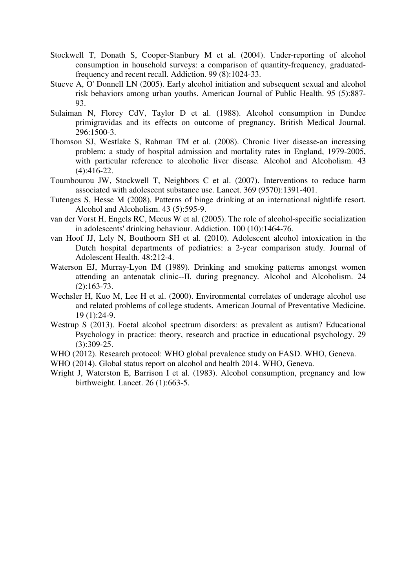- Stockwell T, Donath S, Cooper-Stanbury M et al. (2004). Under-reporting of alcohol consumption in household surveys: a comparison of quantity-frequency, graduatedfrequency and recent recall*.* Addiction. 99 (8):1024-33.
- Stueve A, O' Donnell LN (2005). Early alcohol initiation and subsequent sexual and alcohol risk behaviors among urban youths*.* American Journal of Public Health. 95 (5):887- 93.
- Sulaiman N, Florey CdV, Taylor D et al. (1988). Alcohol consumption in Dundee primigravidas and its effects on outcome of pregnancy*.* British Medical Journal. 296:1500-3.
- Thomson SJ, Westlake S, Rahman TM et al. (2008). Chronic liver disease-an increasing problem: a study of hospital admission and mortality rates in England, 1979-2005, with particular reference to alcoholic liver disease. Alcohol and Alcoholism. 43 (4):416-22.
- Toumbourou JW, Stockwell T, Neighbors C et al. (2007). Interventions to reduce harm associated with adolescent substance use*.* Lancet. 369 (9570):1391-401.
- Tutenges S, Hesse M (2008). Patterns of binge drinking at an international nightlife resort*.* Alcohol and Alcoholism. 43 (5):595-9.
- van der Vorst H, Engels RC, Meeus W et al. (2005). The role of alcohol-specific socialization in adolescents' drinking behaviour*.* Addiction. 100 (10):1464-76.
- van Hoof JJ, Lely N, Bouthoorn SH et al. (2010). Adolescent alcohol intoxication in the Dutch hospital departments of pediatrics: a 2-year comparison study*.* Journal of Adolescent Health. 48:212-4.
- Waterson EJ, Murray-Lyon IM (1989). Drinking and smoking patterns amongst women attending an antenatak clinic--II. during pregnancy*.* Alcohol and Alcoholism. 24 (2):163-73.
- Wechsler H, Kuo M, Lee H et al. (2000). Environmental correlates of underage alcohol use and related problems of college students*.* American Journal of Preventative Medicine. 19 (1):24-9.
- Westrup S (2013). Foetal alcohol spectrum disorders: as prevalent as autism? Educational Psychology in practice: theory, research and practice in educational psychology. 29 (3):309-25.
- WHO (2012). Research protocol: WHO global prevalence study on FASD. WHO, Geneva.

WHO (2014). Global status report on alcohol and health 2014. WHO, Geneva.

Wright J, Waterston E, Barrison I et al. (1983). Alcohol consumption, pregnancy and low birthweight*.* Lancet. 26 (1):663-5.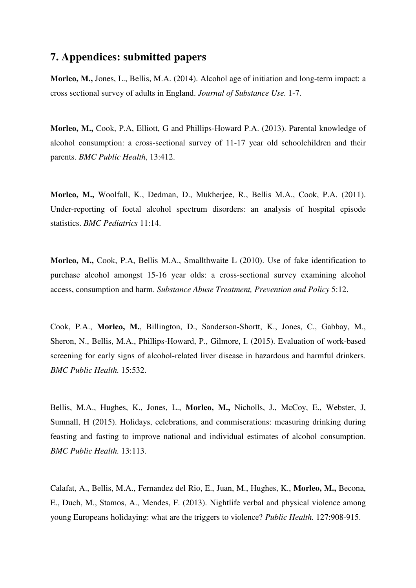# **7. Appendices: submitted papers**

**Morleo, M.,** Jones, L., Bellis, M.A. (2014). Alcohol age of initiation and long-term impact: a cross sectional survey of adults in England. *Journal of Substance Use.* 1-7.

**Morleo, M.,** Cook, P.A, Elliott, G and Phillips-Howard P.A. (2013). Parental knowledge of alcohol consumption: a cross-sectional survey of 11-17 year old schoolchildren and their parents. *BMC Public Health*, 13:412.

**Morleo, M.,** Woolfall, K., Dedman, D., Mukherjee, R., Bellis M.A., Cook, P.A. (2011). Under-reporting of foetal alcohol spectrum disorders: an analysis of hospital episode statistics. *BMC Pediatrics* 11:14.

**Morleo, M.,** Cook, P.A, Bellis M.A., Smallthwaite L (2010). Use of fake identification to purchase alcohol amongst 15-16 year olds: a cross-sectional survey examining alcohol access, consumption and harm. *Substance Abuse Treatment, Prevention and Policy* 5:12.

Cook, P.A., **Morleo, M.**, Billington, D., Sanderson-Shortt, K., Jones, C., Gabbay, M., Sheron, N., Bellis, M.A., Phillips-Howard, P., Gilmore, I. (2015). Evaluation of work-based screening for early signs of alcohol-related liver disease in hazardous and harmful drinkers. *BMC Public Health.* 15:532.

Bellis, M.A., Hughes, K., Jones, L., **Morleo, M.,** Nicholls, J., McCoy, E., Webster, J, Sumnall, H (2015). Holidays, celebrations, and commiserations: measuring drinking during feasting and fasting to improve national and individual estimates of alcohol consumption. *BMC Public Health.* 13:113.

Calafat, A., Bellis, M.A., Fernandez del Rio, E., Juan, M., Hughes, K., **Morleo, M.,** Becona, E., Duch, M., Stamos, A., Mendes, F. (2013). Nightlife verbal and physical violence among young Europeans holidaying: what are the triggers to violence? *Public Health.* 127:908-915.